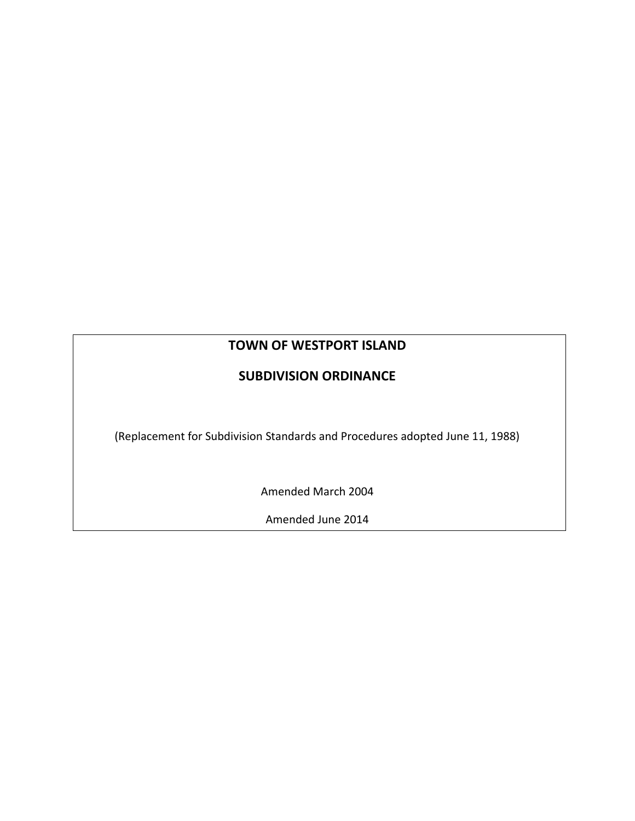# **TOWN OF WESTPORT ISLAND**

# **SUBDIVISION ORDINANCE**

(Replacement for Subdivision Standards and Procedures adopted June 11, 1988)

Amended March 2004

Amended June 2014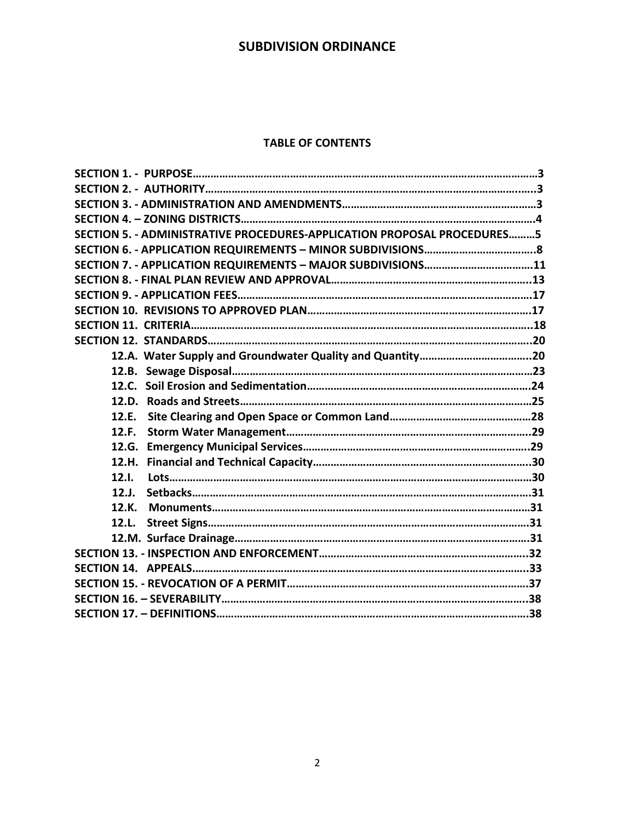#### **TABLE OF CONTENTS**

| SECTION 5. - ADMINISTRATIVE PROCEDURES-APPLICATION PROPOSAL PROCEDURES5 |  |
|-------------------------------------------------------------------------|--|
|                                                                         |  |
|                                                                         |  |
|                                                                         |  |
|                                                                         |  |
|                                                                         |  |
|                                                                         |  |
|                                                                         |  |
|                                                                         |  |
|                                                                         |  |
|                                                                         |  |
|                                                                         |  |
| 12.F.                                                                   |  |
| 12.F.                                                                   |  |
|                                                                         |  |
| 12.H.                                                                   |  |
| 12.1.                                                                   |  |
| 12.J.                                                                   |  |
| 12.K.                                                                   |  |
| 12.L.                                                                   |  |
|                                                                         |  |
|                                                                         |  |
|                                                                         |  |
|                                                                         |  |
|                                                                         |  |
|                                                                         |  |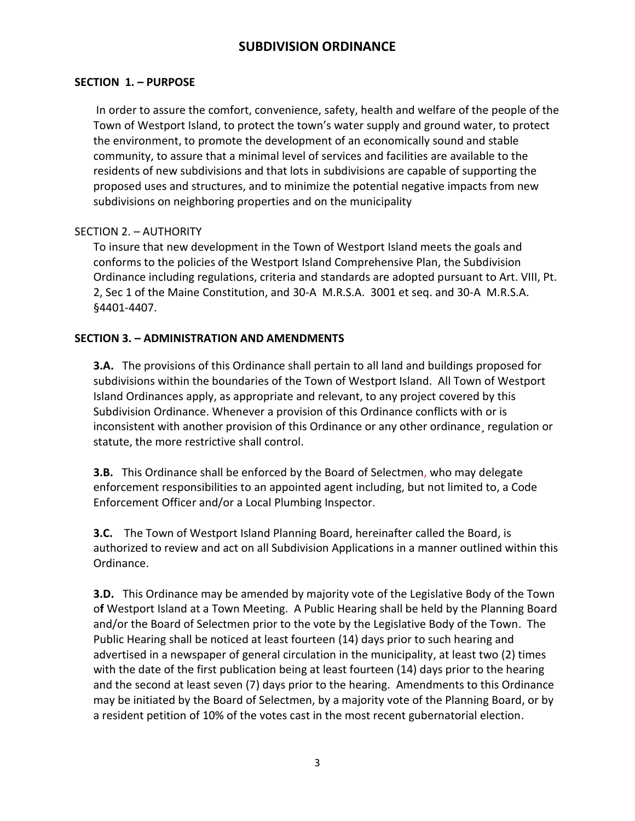## **SECTION 1. – PURPOSE**

In order to assure the comfort, convenience, safety, health and welfare of the people of the Town of Westport Island, to protect the town's water supply and ground water, to protect the environment, to promote the development of an economically sound and stable community, to assure that a minimal level of services and facilities are available to the residents of new subdivisions and that lots in subdivisions are capable of supporting the proposed uses and structures, and to minimize the potential negative impacts from new subdivisions on neighboring properties and on the municipality

### SECTION 2. – AUTHORITY

To insure that new development in the Town of Westport Island meets the goals and conforms to the policies of the Westport Island Comprehensive Plan, the Subdivision Ordinance including regulations, criteria and standards are adopted pursuant to Art. VIII, Pt. 2, Sec 1 of the Maine Constitution, and 30-A M.R.S.A. 3001 et seq. and 30-A M.R.S.A. §4401-4407.

## **SECTION 3. – ADMINISTRATION AND AMENDMENTS**

**3.A.** The provisions of this Ordinance shall pertain to all land and buildings proposed for subdivisions within the boundaries of the Town of Westport Island. All Town of Westport Island Ordinances apply, as appropriate and relevant, to any project covered by this Subdivision Ordinance. Whenever a provision of this Ordinance conflicts with or is inconsistent with another provision of this Ordinance or any other ordinance¸ regulation or statute, the more restrictive shall control.

**3.B.** This Ordinance shall be enforced by the Board of Selectmen, who may delegate enforcement responsibilities to an appointed agent including, but not limited to, a Code Enforcement Officer and/or a Local Plumbing Inspector.

**3.C.** The Town of Westport Island Planning Board, hereinafter called the Board, is authorized to review and act on all Subdivision Applications in a manner outlined within this Ordinance.

**3.D.** This Ordinance may be amended by majority vote of the Legislative Body of the Town o**f** Westport Island at a Town Meeting. A Public Hearing shall be held by the Planning Board and/or the Board of Selectmen prior to the vote by the Legislative Body of the Town. The Public Hearing shall be noticed at least fourteen (14) days prior to such hearing and advertised in a newspaper of general circulation in the municipality, at least two (2) times with the date of the first publication being at least fourteen (14) days prior to the hearing and the second at least seven (7) days prior to the hearing. Amendments to this Ordinance may be initiated by the Board of Selectmen, by a majority vote of the Planning Board, or by a resident petition of 10% of the votes cast in the most recent gubernatorial election.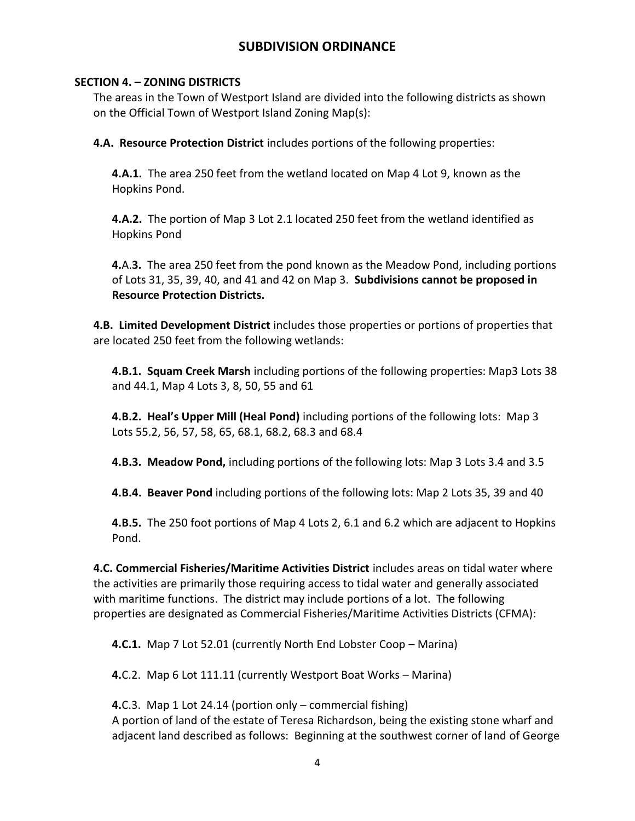## **SECTION 4. – ZONING DISTRICTS**

The areas in the Town of Westport Island are divided into the following districts as shown on the Official Town of Westport Island Zoning Map(s):

**4.A. Resource Protection District** includes portions of the following properties:

**4.A.1.** The area 250 feet from the wetland located on Map 4 Lot 9, known as the Hopkins Pond.

**4.A.2.** The portion of Map 3 Lot 2.1 located 250 feet from the wetland identified as Hopkins Pond

**4.**A.**3.** The area 250 feet from the pond known as the Meadow Pond, including portions of Lots 31, 35, 39, 40, and 41 and 42 on Map 3. **Subdivisions cannot be proposed in Resource Protection Districts.**

**4.B. Limited Development District** includes those properties or portions of properties that are located 250 feet from the following wetlands:

**4.B.1. Squam Creek Marsh** including portions of the following properties: Map3 Lots 38 and 44.1, Map 4 Lots 3, 8, 50, 55 and 61

**4.B.2. Heal's Upper Mill (Heal Pond)** including portions of the following lots: Map 3 Lots 55.2, 56, 57, 58, 65, 68.1, 68.2, 68.3 and 68.4

**4.B.3. Meadow Pond,** including portions of the following lots: Map 3 Lots 3.4 and 3.5

**4.B.4. Beaver Pond** including portions of the following lots: Map 2 Lots 35, 39 and 40

**4.B.5.** The 250 foot portions of Map 4 Lots 2, 6.1 and 6.2 which are adjacent to Hopkins Pond.

**4.C. Commercial Fisheries/Maritime Activities District** includes areas on tidal water where the activities are primarily those requiring access to tidal water and generally associated with maritime functions. The district may include portions of a lot. The following properties are designated as Commercial Fisheries/Maritime Activities Districts (CFMA):

**4.C.1.** Map 7 Lot 52.01 (currently North End Lobster Coop – Marina)

**4.**C.2. Map 6 Lot 111.11 (currently Westport Boat Works – Marina)

**4.**C.3. Map 1 Lot 24.14 (portion only – commercial fishing) A portion of land of the estate of Teresa Richardson, being the existing stone wharf and adjacent land described as follows: Beginning at the southwest corner of land of George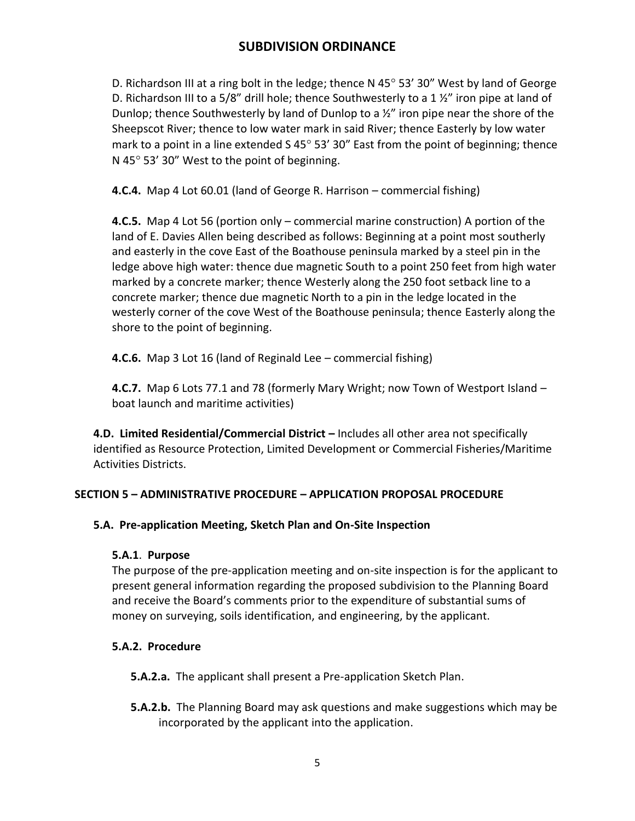D. Richardson III at a ring bolt in the ledge; thence N 45 $^{\circ}$  53' 30" West by land of George D. Richardson III to a 5/8" drill hole; thence Southwesterly to a 1  $\frac{1}{2}$ " iron pipe at land of Dunlop; thence Southwesterly by land of Dunlop to a ½" iron pipe near the shore of the Sheepscot River; thence to low water mark in said River; thence Easterly by low water mark to a point in a line extended  $S$  45 $^{\circ}$  53' 30" East from the point of beginning; thence N 45 $\degree$  53' 30" West to the point of beginning.

**4.C.4.** Map 4 Lot 60.01 (land of George R. Harrison – commercial fishing)

**4.C.5.** Map 4 Lot 56 (portion only – commercial marine construction) A portion of the land of E. Davies Allen being described as follows: Beginning at a point most southerly and easterly in the cove East of the Boathouse peninsula marked by a steel pin in the ledge above high water: thence due magnetic South to a point 250 feet from high water marked by a concrete marker; thence Westerly along the 250 foot setback line to a concrete marker; thence due magnetic North to a pin in the ledge located in the westerly corner of the cove West of the Boathouse peninsula; thence Easterly along the shore to the point of beginning.

**4.C.6.** Map 3 Lot 16 (land of Reginald Lee – commercial fishing)

**4.C.7.** Map 6 Lots 77.1 and 78 (formerly Mary Wright; now Town of Westport Island – boat launch and maritime activities)

**4.D. Limited Residential/Commercial District –** Includes all other area not specifically identified as Resource Protection, Limited Development or Commercial Fisheries/Maritime Activities Districts.

## **SECTION 5 – ADMINISTRATIVE PROCEDURE – APPLICATION PROPOSAL PROCEDURE**

## **5.A. Pre-application Meeting, Sketch Plan and On-Site Inspection**

## **5.A.1**. **Purpose**

The purpose of the pre-application meeting and on-site inspection is for the applicant to present general information regarding the proposed subdivision to the Planning Board and receive the Board's comments prior to the expenditure of substantial sums of money on surveying, soils identification, and engineering, by the applicant.

## **5.A.2. Procedure**

**5.A.2.a.** The applicant shall present a Pre-application Sketch Plan.

**5.A.2.b.** The Planning Board may ask questions and make suggestions which may be incorporated by the applicant into the application.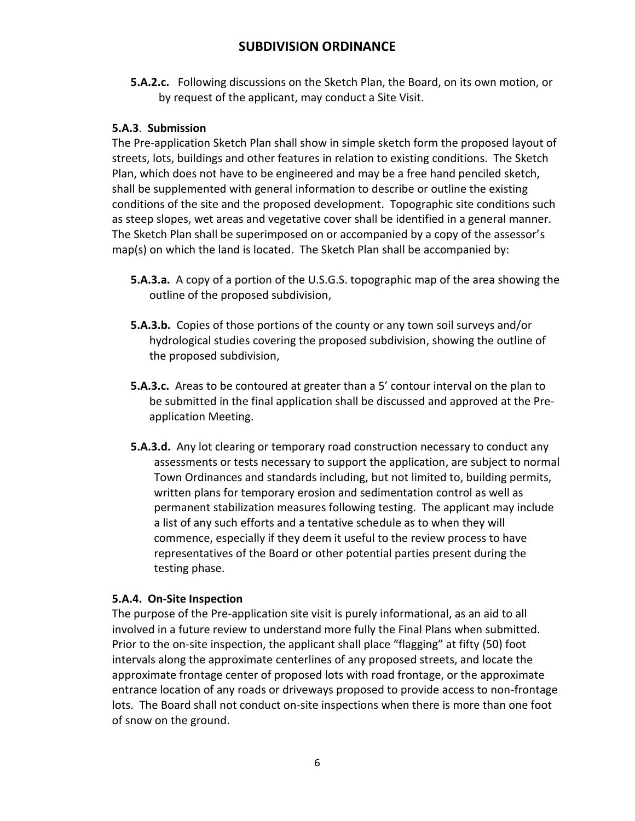**5.A.2.c.** Following discussions on the Sketch Plan, the Board, on its own motion, or by request of the applicant, may conduct a Site Visit.

## **5.A.3**. **Submission**

The Pre-application Sketch Plan shall show in simple sketch form the proposed layout of streets, lots, buildings and other features in relation to existing conditions. The Sketch Plan, which does not have to be engineered and may be a free hand penciled sketch, shall be supplemented with general information to describe or outline the existing conditions of the site and the proposed development. Topographic site conditions such as steep slopes, wet areas and vegetative cover shall be identified in a general manner. The Sketch Plan shall be superimposed on or accompanied by a copy of the assessor's map(s) on which the land is located. The Sketch Plan shall be accompanied by:

- **5.A.3.a.** A copy of a portion of the U.S.G.S. topographic map of the area showing the outline of the proposed subdivision,
- **5.A.3.b.** Copies of those portions of the county or any town soil surveys and/or hydrological studies covering the proposed subdivision, showing the outline of the proposed subdivision,
- **5.A.3.c.** Areas to be contoured at greater than a 5' contour interval on the plan to be submitted in the final application shall be discussed and approved at the Preapplication Meeting.
- **5.A.3.d.** Any lot clearing or temporary road construction necessary to conduct any assessments or tests necessary to support the application, are subject to normal Town Ordinances and standards including, but not limited to, building permits, written plans for temporary erosion and sedimentation control as well as permanent stabilization measures following testing. The applicant may include a list of any such efforts and a tentative schedule as to when they will commence, especially if they deem it useful to the review process to have representatives of the Board or other potential parties present during the testing phase.

## **5.A.4. On-Site Inspection**

The purpose of the Pre-application site visit is purely informational, as an aid to all involved in a future review to understand more fully the Final Plans when submitted. Prior to the on-site inspection, the applicant shall place "flagging" at fifty (50) foot intervals along the approximate centerlines of any proposed streets, and locate the approximate frontage center of proposed lots with road frontage, or the approximate entrance location of any roads or driveways proposed to provide access to non-frontage lots. The Board shall not conduct on-site inspections when there is more than one foot of snow on the ground.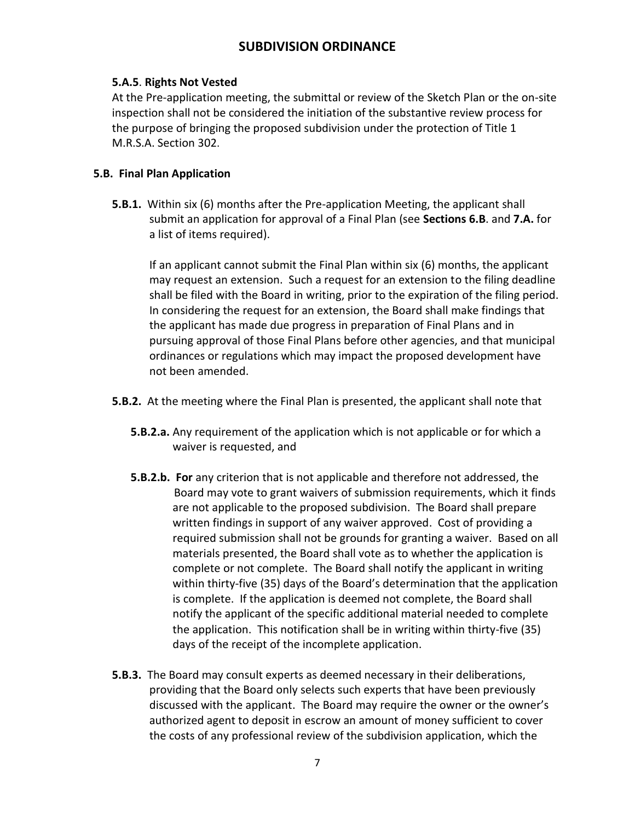## **5.A.5**. **Rights Not Vested**

At the Pre-application meeting, the submittal or review of the Sketch Plan or the on-site inspection shall not be considered the initiation of the substantive review process for the purpose of bringing the proposed subdivision under the protection of Title 1 M.R.S.A. Section 302.

## **5.B. Final Plan Application**

**5.B.1.** Within six (6) months after the Pre-application Meeting, the applicant shall submit an application for approval of a Final Plan (see **Sections 6.B**. and **7.A.** for a list of items required).

If an applicant cannot submit the Final Plan within six (6) months, the applicant may request an extension. Such a request for an extension to the filing deadline shall be filed with the Board in writing, prior to the expiration of the filing period. In considering the request for an extension, the Board shall make findings that the applicant has made due progress in preparation of Final Plans and in pursuing approval of those Final Plans before other agencies, and that municipal ordinances or regulations which may impact the proposed development have not been amended.

- **5.B.2.** At the meeting where the Final Plan is presented, the applicant shall note that
	- **5.B.2.a.** Any requirement of the application which is not applicable or for which a waiver is requested, and
	- **5.B.2.b. For** any criterion that is not applicable and therefore not addressed, the Board may vote to grant waivers of submission requirements, which it finds are not applicable to the proposed subdivision. The Board shall prepare written findings in support of any waiver approved. Cost of providing a required submission shall not be grounds for granting a waiver. Based on all materials presented, the Board shall vote as to whether the application is complete or not complete. The Board shall notify the applicant in writing within thirty-five (35) days of the Board's determination that the application is complete. If the application is deemed not complete, the Board shall notify the applicant of the specific additional material needed to complete the application. This notification shall be in writing within thirty-five (35) days of the receipt of the incomplete application.
- **5.B.3.** The Board may consult experts as deemed necessary in their deliberations, providing that the Board only selects such experts that have been previously discussed with the applicant. The Board may require the owner or the owner's authorized agent to deposit in escrow an amount of money sufficient to cover the costs of any professional review of the subdivision application, which the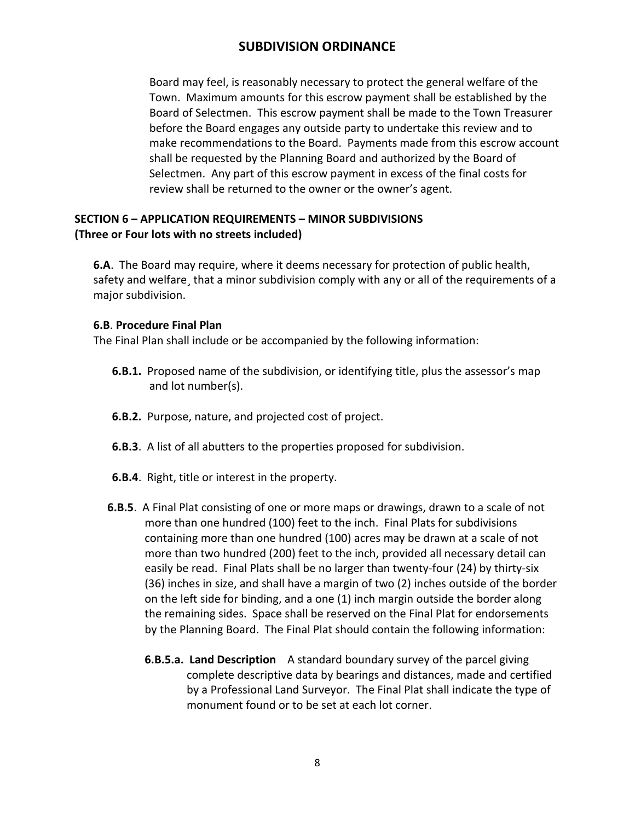Board may feel, is reasonably necessary to protect the general welfare of the Town. Maximum amounts for this escrow payment shall be established by the Board of Selectmen. This escrow payment shall be made to the Town Treasurer before the Board engages any outside party to undertake this review and to make recommendations to the Board. Payments made from this escrow account shall be requested by the Planning Board and authorized by the Board of Selectmen. Any part of this escrow payment in excess of the final costs for review shall be returned to the owner or the owner's agent.

## **SECTION 6 – APPLICATION REQUIREMENTS – MINOR SUBDIVISIONS (Three or Four lots with no streets included)**

**6.A**. The Board may require, where it deems necessary for protection of public health, safety and welfare, that a minor subdivision comply with any or all of the requirements of a major subdivision.

### **6.B**. **Procedure Final Plan**

The Final Plan shall include or be accompanied by the following information:

- **6.B.1.** Proposed name of the subdivision, or identifying title, plus the assessor's map and lot number(s).
- **6.B.2.** Purpose, nature, and projected cost of project.
- **6.B.3**. A list of all abutters to the properties proposed for subdivision.
- **6.B.4**. Right, title or interest in the property.
- **6.B.5**. A Final Plat consisting of one or more maps or drawings, drawn to a scale of not more than one hundred (100) feet to the inch. Final Plats for subdivisions containing more than one hundred (100) acres may be drawn at a scale of not more than two hundred (200) feet to the inch, provided all necessary detail can easily be read. Final Plats shall be no larger than twenty-four (24) by thirty-six (36) inches in size, and shall have a margin of two (2) inches outside of the border on the left side for binding, and a one (1) inch margin outside the border along the remaining sides. Space shall be reserved on the Final Plat for endorsements by the Planning Board. The Final Plat should contain the following information:
	- **6.B.5.a. Land Description** A standard boundary survey of the parcel giving complete descriptive data by bearings and distances, made and certified by a Professional Land Surveyor. The Final Plat shall indicate the type of monument found or to be set at each lot corner.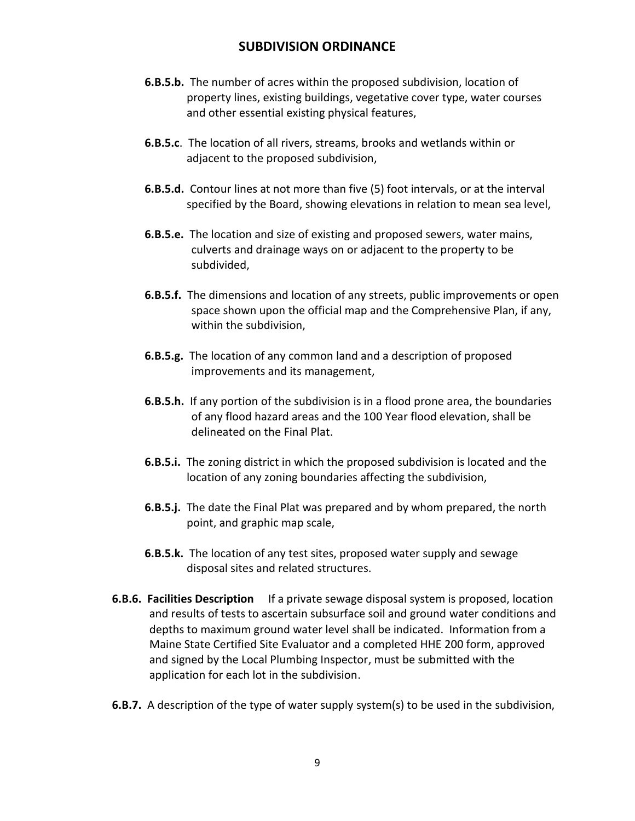- **6.B.5.b.** The number of acres within the proposed subdivision, location of property lines, existing buildings, vegetative cover type, water courses and other essential existing physical features,
- **6.B.5.c**. The location of all rivers, streams, brooks and wetlands within or adjacent to the proposed subdivision,
- **6.B.5.d.** Contour lines at not more than five (5) foot intervals, or at the interval specified by the Board, showing elevations in relation to mean sea level,
- **6.B.5.e.** The location and size of existing and proposed sewers, water mains, culverts and drainage ways on or adjacent to the property to be subdivided,
- **6.B.5.f.** The dimensions and location of any streets, public improvements or open space shown upon the official map and the Comprehensive Plan, if any, within the subdivision,
- **6.B.5.g.** The location of any common land and a description of proposed improvements and its management,
- **6.B.5.h.** If any portion of the subdivision is in a flood prone area, the boundaries of any flood hazard areas and the 100 Year flood elevation, shall be delineated on the Final Plat.
- **6.B.5.i.** The zoning district in which the proposed subdivision is located and the location of any zoning boundaries affecting the subdivision,
- **6.B.5.j.** The date the Final Plat was prepared and by whom prepared, the north point, and graphic map scale,
- **6.B.5.k.** The location of any test sites, proposed water supply and sewage disposal sites and related structures.
- **6.B.6. Facilities Description** If a private sewage disposal system is proposed, location and results of tests to ascertain subsurface soil and ground water conditions and depths to maximum ground water level shall be indicated. Information from a Maine State Certified Site Evaluator and a completed HHE 200 form, approved and signed by the Local Plumbing Inspector, must be submitted with the application for each lot in the subdivision.
- **6.B.7.** A description of the type of water supply system(s) to be used in the subdivision,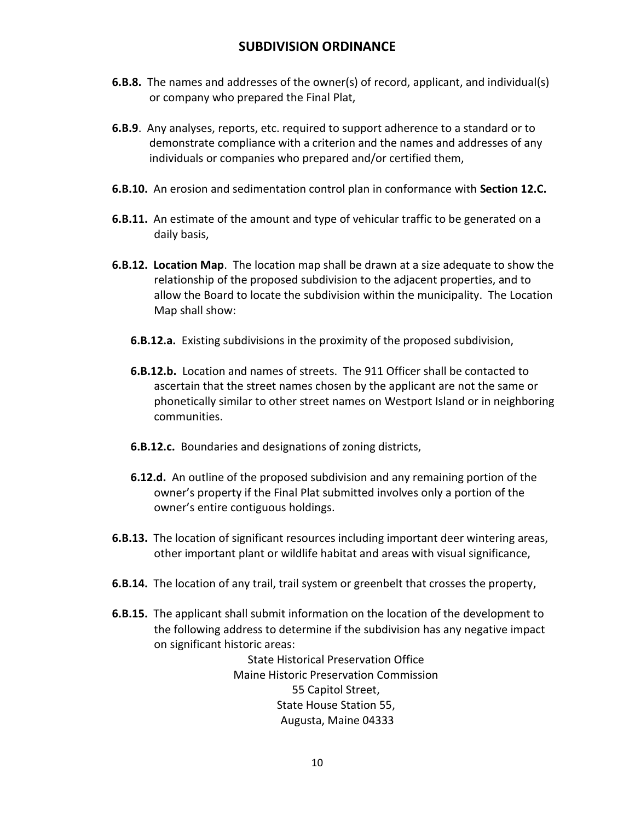- **6.B.8.** The names and addresses of the owner(s) of record, applicant, and individual(s) or company who prepared the Final Plat,
- **6.B.9**. Any analyses, reports, etc. required to support adherence to a standard or to demonstrate compliance with a criterion and the names and addresses of any individuals or companies who prepared and/or certified them,
- **6.B.10.** An erosion and sedimentation control plan in conformance with **Section 12.C.**
- **6.B.11.** An estimate of the amount and type of vehicular traffic to be generated on a daily basis,
- **6.B.12. Location Map**. The location map shall be drawn at a size adequate to show the relationship of the proposed subdivision to the adjacent properties, and to allow the Board to locate the subdivision within the municipality. The Location Map shall show:
	- **6.B.12.a.** Existing subdivisions in the proximity of the proposed subdivision,
	- **6.B.12.b.** Location and names of streets. The 911 Officer shall be contacted to ascertain that the street names chosen by the applicant are not the same or phonetically similar to other street names on Westport Island or in neighboring communities.
	- **6.B.12.c.** Boundaries and designations of zoning districts,
	- **6.12.d.** An outline of the proposed subdivision and any remaining portion of the owner's property if the Final Plat submitted involves only a portion of the owner's entire contiguous holdings.
- **6.B.13.** The location of significant resources including important deer wintering areas, other important plant or wildlife habitat and areas with visual significance,
- **6.B.14.** The location of any trail, trail system or greenbelt that crosses the property,
- **6.B.15.** The applicant shall submit information on the location of the development to the following address to determine if the subdivision has any negative impact on significant historic areas:

State Historical Preservation Office Maine Historic Preservation Commission 55 Capitol Street, State House Station 55, Augusta, Maine 04333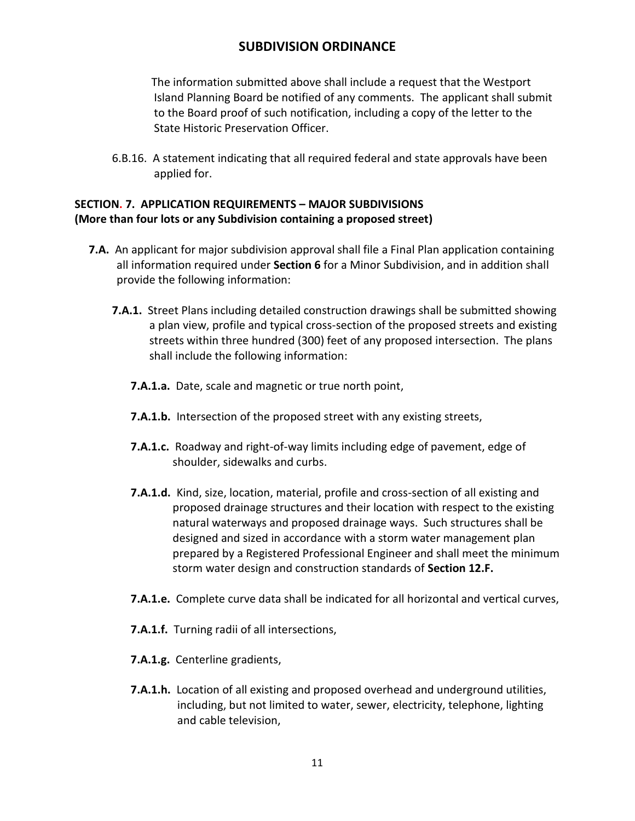The information submitted above shall include a request that the Westport Island Planning Board be notified of any comments. The applicant shall submit to the Board proof of such notification, including a copy of the letter to the State Historic Preservation Officer.

6.B.16. A statement indicating that all required federal and state approvals have been applied for.

## **SECTION. 7. APPLICATION REQUIREMENTS – MAJOR SUBDIVISIONS (More than four lots or any Subdivision containing a proposed street)**

- **7.A.** An applicant for major subdivision approval shall file a Final Plan application containing all information required under **Section 6** for a Minor Subdivision, and in addition shall provide the following information:
	- **7.A.1.** Street Plans including detailed construction drawings shall be submitted showing a plan view, profile and typical cross-section of the proposed streets and existing streets within three hundred (300) feet of any proposed intersection. The plans shall include the following information:
		- **7.A.1.a.** Date, scale and magnetic or true north point,
		- **7.A.1.b.** Intersection of the proposed street with any existing streets,
		- **7.A.1.c.** Roadway and right-of-way limits including edge of pavement, edge of shoulder, sidewalks and curbs.
		- **7.A.1.d.** Kind, size, location, material, profile and cross-section of all existing and proposed drainage structures and their location with respect to the existing natural waterways and proposed drainage ways. Such structures shall be designed and sized in accordance with a storm water management plan prepared by a Registered Professional Engineer and shall meet the minimum storm water design and construction standards of **Section 12.F.**
		- **7.A.1.e.** Complete curve data shall be indicated for all horizontal and vertical curves,
		- **7.A.1.f.** Turning radii of all intersections,
		- **7.A.1.g.** Centerline gradients,
		- **7.A.1.h.** Location of all existing and proposed overhead and underground utilities, including, but not limited to water, sewer, electricity, telephone, lighting and cable television,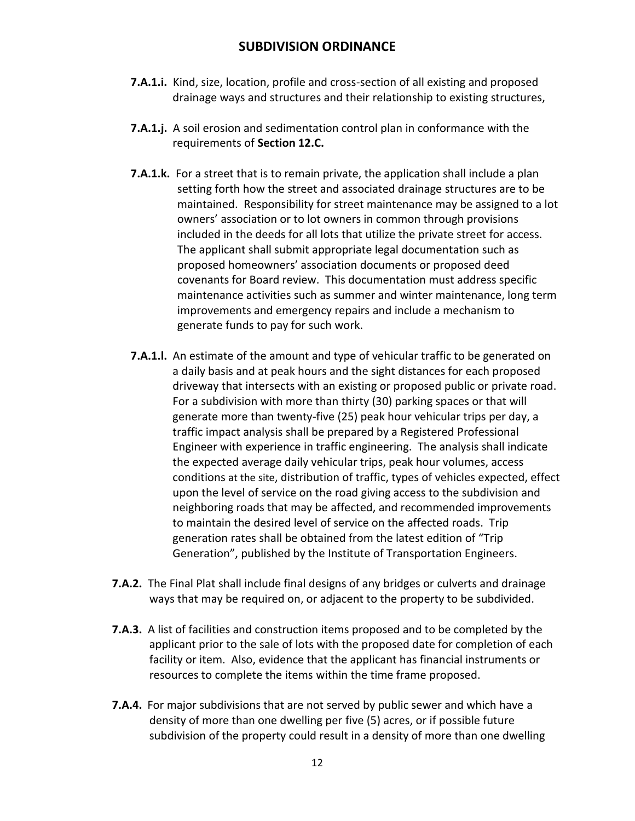- **7.A.1.i.** Kind, size, location, profile and cross-section of all existing and proposed drainage ways and structures and their relationship to existing structures,
- **7.A.1.j.** A soil erosion and sedimentation control plan in conformance with the requirements of **Section 12.C.**
- **7.A.1.k.** For a street that is to remain private, the application shall include a plan setting forth how the street and associated drainage structures are to be maintained. Responsibility for street maintenance may be assigned to a lot owners' association or to lot owners in common through provisions included in the deeds for all lots that utilize the private street for access. The applicant shall submit appropriate legal documentation such as proposed homeowners' association documents or proposed deed covenants for Board review. This documentation must address specific maintenance activities such as summer and winter maintenance, long term improvements and emergency repairs and include a mechanism to generate funds to pay for such work.
- **7.A.1.l.** An estimate of the amount and type of vehicular traffic to be generated on a daily basis and at peak hours and the sight distances for each proposed driveway that intersects with an existing or proposed public or private road. For a subdivision with more than thirty (30) parking spaces or that will generate more than twenty-five (25) peak hour vehicular trips per day, a traffic impact analysis shall be prepared by a Registered Professional Engineer with experience in traffic engineering. The analysis shall indicate the expected average daily vehicular trips, peak hour volumes, access conditions at the site, distribution of traffic, types of vehicles expected, effect upon the level of service on the road giving access to the subdivision and neighboring roads that may be affected, and recommended improvements to maintain the desired level of service on the affected roads. Trip generation rates shall be obtained from the latest edition of "Trip Generation", published by the Institute of Transportation Engineers.
- **7.A.2.** The Final Plat shall include final designs of any bridges or culverts and drainage ways that may be required on, or adjacent to the property to be subdivided.
- **7.A.3.** A list of facilities and construction items proposed and to be completed by the applicant prior to the sale of lots with the proposed date for completion of each facility or item. Also, evidence that the applicant has financial instruments or resources to complete the items within the time frame proposed.
- **7.A.4.** For major subdivisions that are not served by public sewer and which have a density of more than one dwelling per five (5) acres, or if possible future subdivision of the property could result in a density of more than one dwelling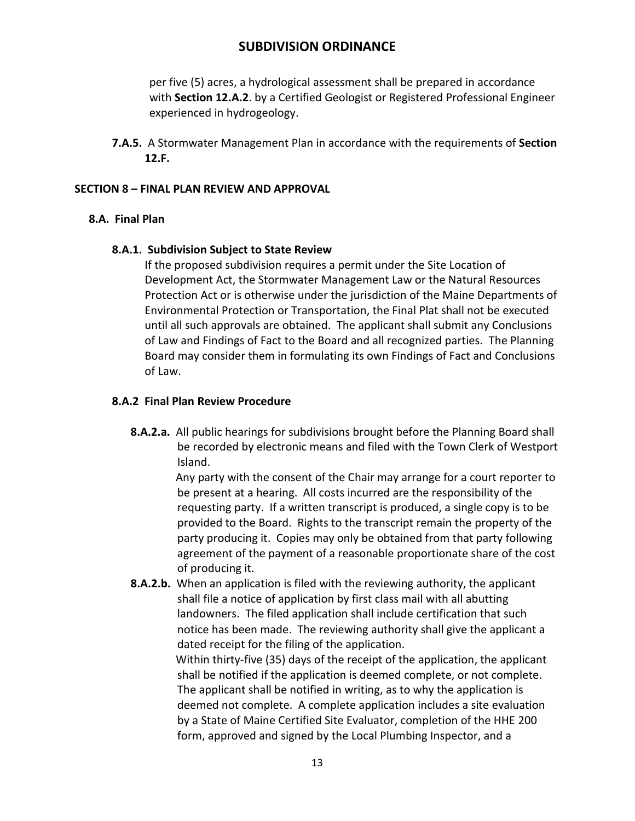per five (5) acres, a hydrological assessment shall be prepared in accordance with **Section 12.A.2**. by a Certified Geologist or Registered Professional Engineer experienced in hydrogeology.

**7.A.5.** A Stormwater Management Plan in accordance with the requirements of **Section 12.F.**

## **SECTION 8 – FINAL PLAN REVIEW AND APPROVAL**

## **8.A. Final Plan**

## **8.A.1. Subdivision Subject to State Review**

If the proposed subdivision requires a permit under the Site Location of Development Act, the Stormwater Management Law or the Natural Resources Protection Act or is otherwise under the jurisdiction of the Maine Departments of Environmental Protection or Transportation, the Final Plat shall not be executed until all such approvals are obtained. The applicant shall submit any Conclusions of Law and Findings of Fact to the Board and all recognized parties. The Planning Board may consider them in formulating its own Findings of Fact and Conclusions of Law.

## **8.A.2 Final Plan Review Procedure**

**8.A.2.a.** All public hearings for subdivisions brought before the Planning Board shall be recorded by electronic means and filed with the Town Clerk of Westport Island.

> Any party with the consent of the Chair may arrange for a court reporter to be present at a hearing. All costs incurred are the responsibility of the requesting party. If a written transcript is produced, a single copy is to be provided to the Board. Rights to the transcript remain the property of the party producing it. Copies may only be obtained from that party following agreement of the payment of a reasonable proportionate share of the cost of producing it.

**8.A.2.b.** When an application is filed with the reviewing authority, the applicant shall file a notice of application by first class mail with all abutting landowners. The filed application shall include certification that such notice has been made. The reviewing authority shall give the applicant a dated receipt for the filing of the application. Within thirty-five (35) days of the receipt of the application, the applicant shall be notified if the application is deemed complete, or not complete. The applicant shall be notified in writing, as to why the application is deemed not complete. A complete application includes a site evaluation by a State of Maine Certified Site Evaluator, completion of the HHE 200 form, approved and signed by the Local Plumbing Inspector, and a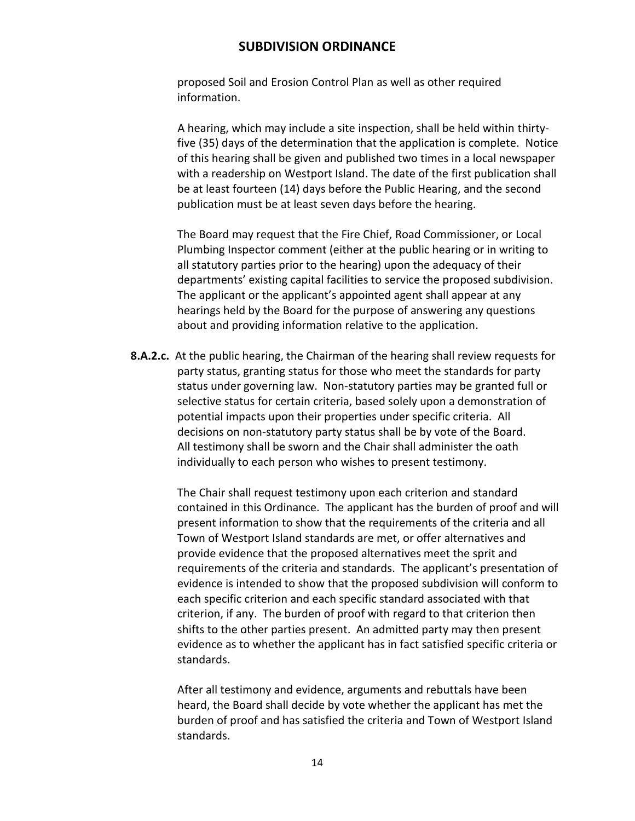proposed Soil and Erosion Control Plan as well as other required information.

 A hearing, which may include a site inspection, shall be held within thirtyfive (35) days of the determination that the application is complete. Notice of this hearing shall be given and published two times in a local newspaper with a readership on Westport Island. The date of the first publication shall be at least fourteen (14) days before the Public Hearing, and the second publication must be at least seven days before the hearing.

The Board may request that the Fire Chief, Road Commissioner, or Local Plumbing Inspector comment (either at the public hearing or in writing to all statutory parties prior to the hearing) upon the adequacy of their departments' existing capital facilities to service the proposed subdivision. The applicant or the applicant's appointed agent shall appear at any hearings held by the Board for the purpose of answering any questions about and providing information relative to the application.

**8.A.2.c.** At the public hearing, the Chairman of the hearing shall review requests for party status, granting status for those who meet the standards for party status under governing law. Non-statutory parties may be granted full or selective status for certain criteria, based solely upon a demonstration of potential impacts upon their properties under specific criteria. All decisions on non-statutory party status shall be by vote of the Board. All testimony shall be sworn and the Chair shall administer the oath individually to each person who wishes to present testimony.

> The Chair shall request testimony upon each criterion and standard contained in this Ordinance. The applicant has the burden of proof and will present information to show that the requirements of the criteria and all Town of Westport Island standards are met, or offer alternatives and provide evidence that the proposed alternatives meet the sprit and requirements of the criteria and standards. The applicant's presentation of evidence is intended to show that the proposed subdivision will conform to each specific criterion and each specific standard associated with that criterion, if any. The burden of proof with regard to that criterion then shifts to the other parties present. An admitted party may then present evidence as to whether the applicant has in fact satisfied specific criteria or standards.

After all testimony and evidence, arguments and rebuttals have been heard, the Board shall decide by vote whether the applicant has met the burden of proof and has satisfied the criteria and Town of Westport Island standards.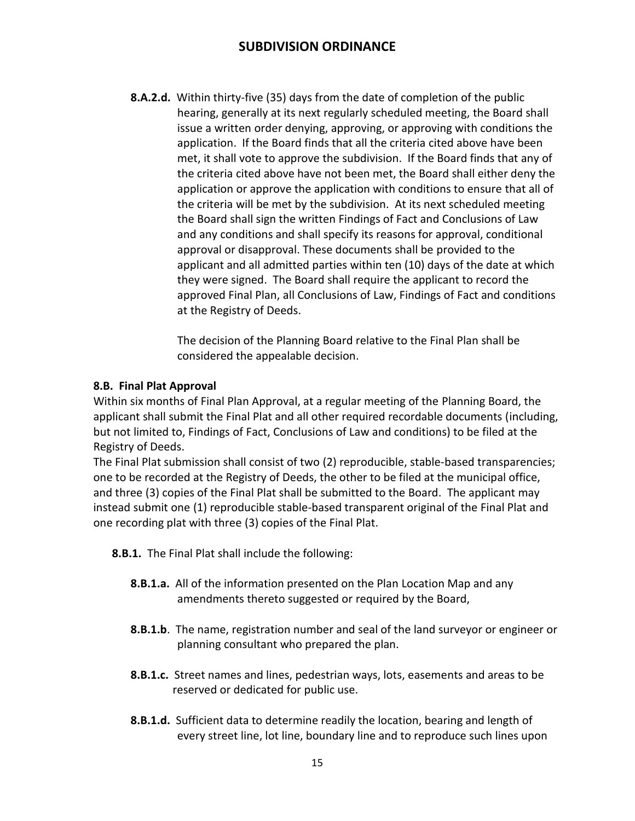**8.A.2.d.** Within thirty-five (35) days from the date of completion of the public hearing, generally at its next regularly scheduled meeting, the Board shall issue a written order denying, approving, or approving with conditions the application. If the Board finds that all the criteria cited above have been met, it shall vote to approve the subdivision. If the Board finds that any of the criteria cited above have not been met, the Board shall either deny the application or approve the application with conditions to ensure that all of the criteria will be met by the subdivision. At its next scheduled meeting the Board shall sign the written Findings of Fact and Conclusions of Law and any conditions and shall specify its reasons for approval, conditional approval or disapproval. These documents shall be provided to the applicant and all admitted parties within ten (10) days of the date at which they were signed. The Board shall require the applicant to record the approved Final Plan, all Conclusions of Law, Findings of Fact and conditions at the Registry of Deeds.

> The decision of the Planning Board relative to the Final Plan shall be considered the appealable decision.

## **8.B. Final Plat Approval**

Within six months of Final Plan Approval, at a regular meeting of the Planning Board, the applicant shall submit the Final Plat and all other required recordable documents (including, but not limited to, Findings of Fact, Conclusions of Law and conditions) to be filed at the Registry of Deeds.

The Final Plat submission shall consist of two (2) reproducible, stable-based transparencies; one to be recorded at the Registry of Deeds, the other to be filed at the municipal office, and three (3) copies of the Final Plat shall be submitted to the Board. The applicant may instead submit one (1) reproducible stable-based transparent original of the Final Plat and one recording plat with three (3) copies of the Final Plat.

- **8.B.1.** The Final Plat shall include the following:
	- **8.B.1.a.** All of the information presented on the Plan Location Map and any amendments thereto suggested or required by the Board,
	- **8.B.1.b**. The name, registration number and seal of the land surveyor or engineer or planning consultant who prepared the plan.
	- **8.B.1.c.** Street names and lines, pedestrian ways, lots, easements and areas to be reserved or dedicated for public use.
	- **8.B.1.d.** Sufficient data to determine readily the location, bearing and length of every street line, lot line, boundary line and to reproduce such lines upon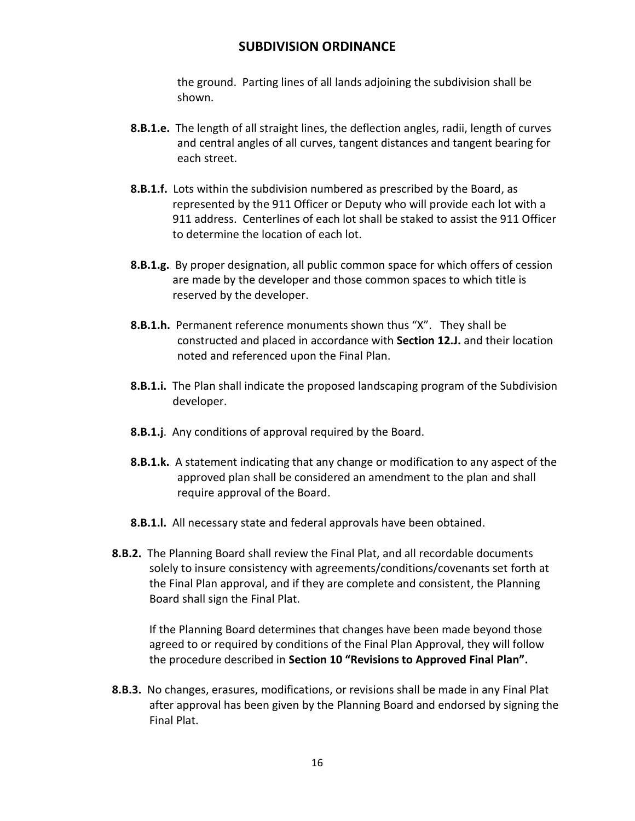the ground. Parting lines of all lands adjoining the subdivision shall be shown.

- **8.B.1.e.** The length of all straight lines, the deflection angles, radii, length of curves and central angles of all curves, tangent distances and tangent bearing for each street.
- **8.B.1.f.** Lots within the subdivision numbered as prescribed by the Board, as represented by the 911 Officer or Deputy who will provide each lot with a 911 address. Centerlines of each lot shall be staked to assist the 911 Officer to determine the location of each lot.
- **8.B.1.g.** By proper designation, all public common space for which offers of cession are made by the developer and those common spaces to which title is reserved by the developer.
- **8.B.1.h.** Permanent reference monuments shown thus "X". They shall be constructed and placed in accordance with **Section 12.J.** and their location noted and referenced upon the Final Plan.
- **8.B.1.i.** The Plan shall indicate the proposed landscaping program of the Subdivision developer.
- **8.B.1.j**. Any conditions of approval required by the Board.
- **8.B.1.k.** A statement indicating that any change or modification to any aspect of the approved plan shall be considered an amendment to the plan and shall require approval of the Board.
- **8.B.1.l.** All necessary state and federal approvals have been obtained.
- **8.B.2.** The Planning Board shall review the Final Plat, and all recordable documents solely to insure consistency with agreements/conditions/covenants set forth at the Final Plan approval, and if they are complete and consistent, the Planning Board shall sign the Final Plat.

If the Planning Board determines that changes have been made beyond those agreed to or required by conditions of the Final Plan Approval, they will follow the procedure described in **Section 10 "Revisions to Approved Final Plan".**

**8.B.3.** No changes, erasures, modifications, or revisions shall be made in any Final Plat after approval has been given by the Planning Board and endorsed by signing the Final Plat.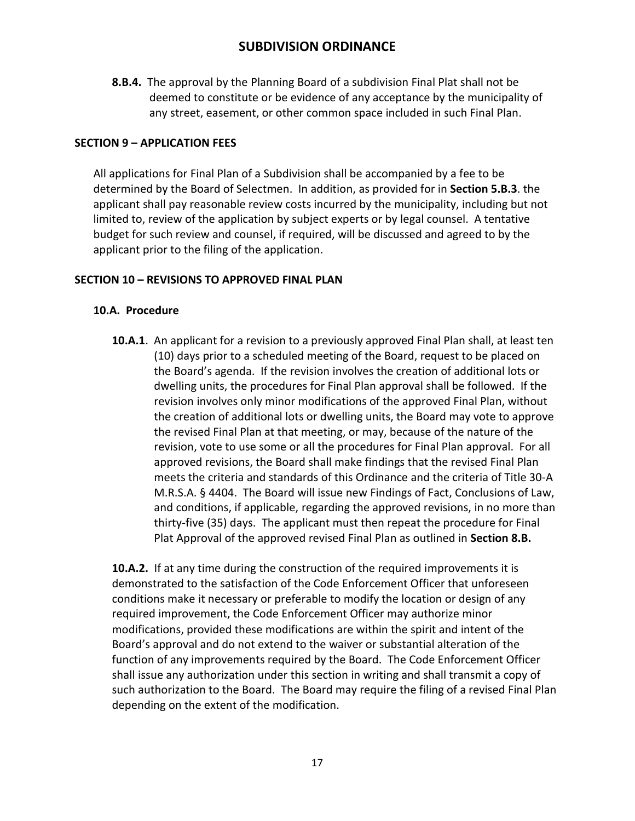**8.B.4.** The approval by the Planning Board of a subdivision Final Plat shall not be deemed to constitute or be evidence of any acceptance by the municipality of any street, easement, or other common space included in such Final Plan.

### **SECTION 9 – APPLICATION FEES**

All applications for Final Plan of a Subdivision shall be accompanied by a fee to be determined by the Board of Selectmen. In addition, as provided for in **Section 5.B.3**. the applicant shall pay reasonable review costs incurred by the municipality, including but not limited to, review of the application by subject experts or by legal counsel. A tentative budget for such review and counsel, if required, will be discussed and agreed to by the applicant prior to the filing of the application.

## **SECTION 10 – REVISIONS TO APPROVED FINAL PLAN**

## **10.A. Procedure**

**10.A.1**. An applicant for a revision to a previously approved Final Plan shall, at least ten (10) days prior to a scheduled meeting of the Board, request to be placed on the Board's agenda. If the revision involves the creation of additional lots or dwelling units, the procedures for Final Plan approval shall be followed. If the revision involves only minor modifications of the approved Final Plan, without the creation of additional lots or dwelling units, the Board may vote to approve the revised Final Plan at that meeting, or may, because of the nature of the revision, vote to use some or all the procedures for Final Plan approval. For all approved revisions, the Board shall make findings that the revised Final Plan meets the criteria and standards of this Ordinance and the criteria of Title 30-A M.R.S.A. § 4404. The Board will issue new Findings of Fact, Conclusions of Law, and conditions, if applicable, regarding the approved revisions, in no more than thirty-five (35) days. The applicant must then repeat the procedure for Final Plat Approval of the approved revised Final Plan as outlined in **Section 8.B.**

**10.A.2.** If at any time during the construction of the required improvements it is demonstrated to the satisfaction of the Code Enforcement Officer that unforeseen conditions make it necessary or preferable to modify the location or design of any required improvement, the Code Enforcement Officer may authorize minor modifications, provided these modifications are within the spirit and intent of the Board's approval and do not extend to the waiver or substantial alteration of the function of any improvements required by the Board. The Code Enforcement Officer shall issue any authorization under this section in writing and shall transmit a copy of such authorization to the Board. The Board may require the filing of a revised Final Plan depending on the extent of the modification.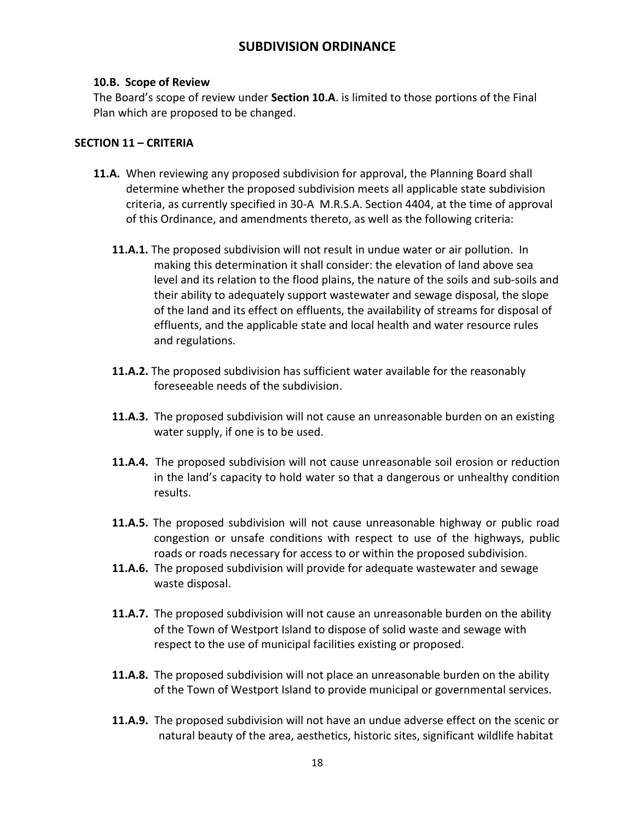### **10.B. Scope of Review**

The Board's scope of review under **Section 10.A**. is limited to those portions of the Final Plan which are proposed to be changed.

## **SECTION 11 – CRITERIA**

- **11.A.** When reviewing any proposed subdivision for approval, the Planning Board shall determine whether the proposed subdivision meets all applicable state subdivision criteria, as currently specified in 30-A M.R.S.A. Section 4404, at the time of approval of this Ordinance, and amendments thereto, as well as the following criteria:
	- **11.A.1.** The proposed subdivision will not result in undue water or air pollution. In making this determination it shall consider: the elevation of land above sea level and its relation to the flood plains, the nature of the soils and sub-soils and their ability to adequately support wastewater and sewage disposal, the slope of the land and its effect on effluents, the availability of streams for disposal of effluents, and the applicable state and local health and water resource rules and regulations.
	- **11.A.2.** The proposed subdivision has sufficient water available for the reasonably foreseeable needs of the subdivision.
	- **11.A.3.** The proposed subdivision will not cause an unreasonable burden on an existing water supply, if one is to be used.
	- **11.A.4.** The proposed subdivision will not cause unreasonable soil erosion or reduction in the land's capacity to hold water so that a dangerous or unhealthy condition results.
	- **11.A.5.** The proposed subdivision will not cause unreasonable highway or public road congestion or unsafe conditions with respect to use of the highways, public roads or roads necessary for access to or within the proposed subdivision.
	- **11.A.6.** The proposed subdivision will provide for adequate wastewater and sewage waste disposal.
	- **11.A.7.** The proposed subdivision will not cause an unreasonable burden on the ability of the Town of Westport Island to dispose of solid waste and sewage with respect to the use of municipal facilities existing or proposed.
	- **11.A.8.** The proposed subdivision will not place an unreasonable burden on the ability of the Town of Westport Island to provide municipal or governmental services.
	- **11.A.9.** The proposed subdivision will not have an undue adverse effect on the scenic or natural beauty of the area, aesthetics, historic sites, significant wildlife habitat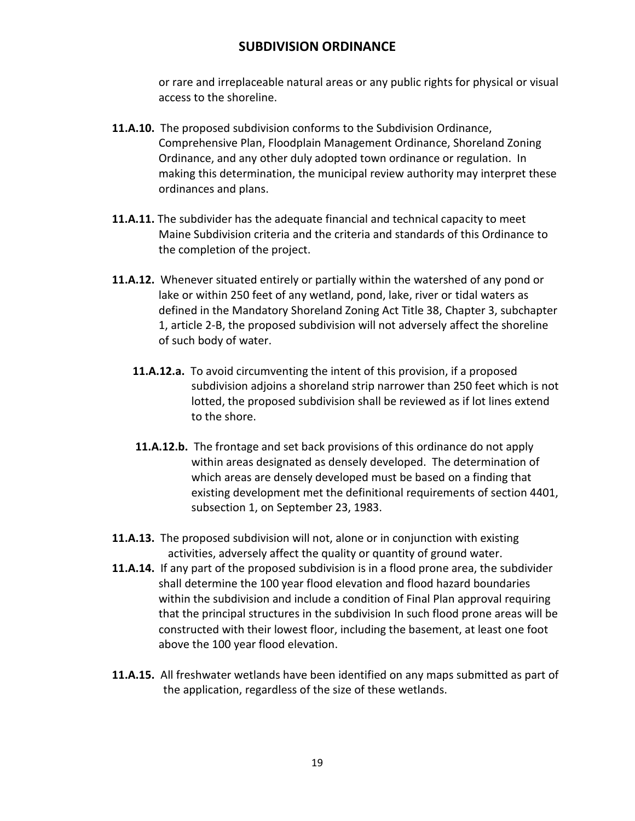or rare and irreplaceable natural areas or any public rights for physical or visual access to the shoreline.

- **11.A.10.** The proposed subdivision conforms to the Subdivision Ordinance, Comprehensive Plan, Floodplain Management Ordinance, Shoreland Zoning Ordinance, and any other duly adopted town ordinance or regulation. In making this determination, the municipal review authority may interpret these ordinances and plans.
- **11.A.11.** The subdivider has the adequate financial and technical capacity to meet Maine Subdivision criteria and the criteria and standards of this Ordinance to the completion of the project.
- **11.A.12.** Whenever situated entirely or partially within the watershed of any pond or lake or within 250 feet of any wetland, pond, lake, river or tidal waters as defined in the Mandatory Shoreland Zoning Act Title 38, Chapter 3, subchapter 1, article 2-B, the proposed subdivision will not adversely affect the shoreline of such body of water.
	- **11.A.12.a.** To avoid circumventing the intent of this provision, if a proposed subdivision adjoins a shoreland strip narrower than 250 feet which is not lotted, the proposed subdivision shall be reviewed as if lot lines extend to the shore.
	- **11.A.12.b.** The frontage and set back provisions of this ordinance do not apply within areas designated as densely developed. The determination of which areas are densely developed must be based on a finding that existing development met the definitional requirements of section 4401, subsection 1, on September 23, 1983.
- **11.A.13.** The proposed subdivision will not, alone or in conjunction with existing activities, adversely affect the quality or quantity of ground water.
- **11.A.14.** If any part of the proposed subdivision is in a flood prone area, the subdivider shall determine the 100 year flood elevation and flood hazard boundaries within the subdivision and include a condition of Final Plan approval requiring that the principal structures in the subdivision In such flood prone areas will be constructed with their lowest floor, including the basement, at least one foot above the 100 year flood elevation.
- **11.A.15.** All freshwater wetlands have been identified on any maps submitted as part of the application, regardless of the size of these wetlands.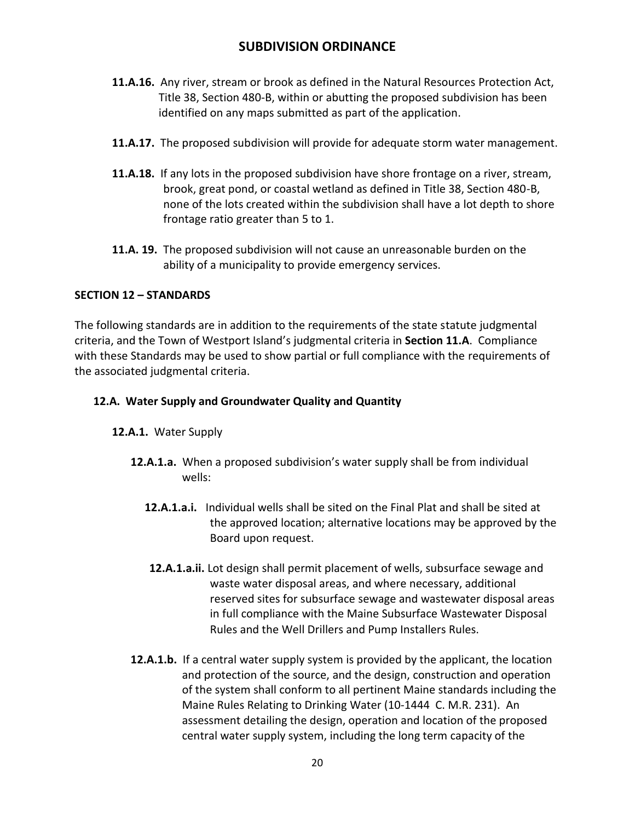- **11.A.16.** Any river, stream or brook as defined in the Natural Resources Protection Act, Title 38, Section 480-B, within or abutting the proposed subdivision has been identified on any maps submitted as part of the application.
- **11.A.17.** The proposed subdivision will provide for adequate storm water management.
- **11.A.18.** If any lots in the proposed subdivision have shore frontage on a river, stream, brook, great pond, or coastal wetland as defined in Title 38, Section 480-B, none of the lots created within the subdivision shall have a lot depth to shore frontage ratio greater than 5 to 1.
- **11.A. 19.** The proposed subdivision will not cause an unreasonable burden on the ability of a municipality to provide emergency services.

## **SECTION 12 – STANDARDS**

The following standards are in addition to the requirements of the state statute judgmental criteria, and the Town of Westport Island's judgmental criteria in **Section 11.A**. Compliance with these Standards may be used to show partial or full compliance with the requirements of the associated judgmental criteria.

## **12.A. Water Supply and Groundwater Quality and Quantity**

### **12.A.1.** Water Supply

- **12.A.1.a.** When a proposed subdivision's water supply shall be from individual wells:
	- **12.A.1.a.i.** Individual wells shall be sited on the Final Plat and shall be sited at the approved location; alternative locations may be approved by the Board upon request.
	- **12.A.1.a.ii.** Lot design shall permit placement of wells, subsurface sewage and waste water disposal areas, and where necessary, additional reserved sites for subsurface sewage and wastewater disposal areas in full compliance with the Maine Subsurface Wastewater Disposal Rules and the Well Drillers and Pump Installers Rules.
- **12.A.1.b.** If a central water supply system is provided by the applicant, the location and protection of the source, and the design, construction and operation of the system shall conform to all pertinent Maine standards including the Maine Rules Relating to Drinking Water (10-1444 C. M.R. 231). An assessment detailing the design, operation and location of the proposed central water supply system, including the long term capacity of the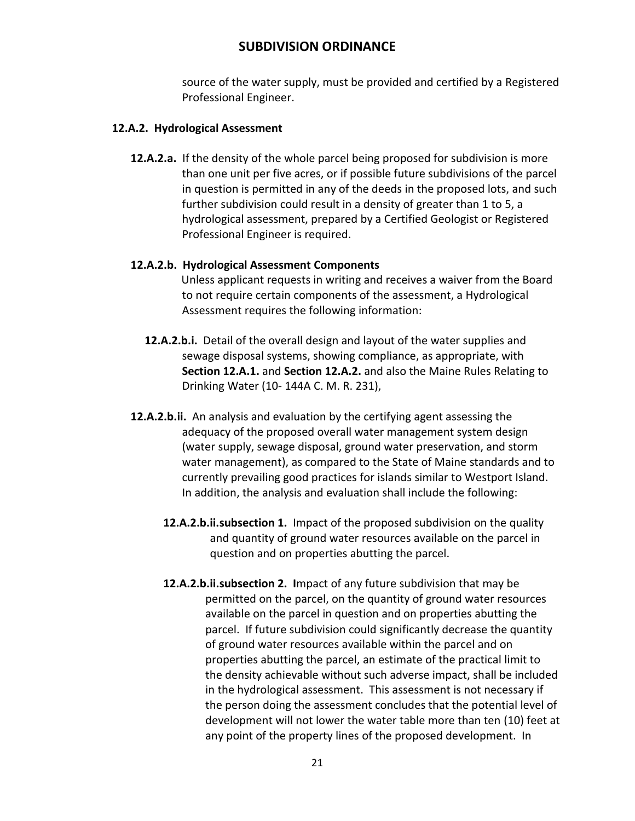source of the water supply, must be provided and certified by a Registered Professional Engineer.

### **12.A.2. Hydrological Assessment**

**12.A.2.a.** If the density of the whole parcel being proposed for subdivision is more than one unit per five acres, or if possible future subdivisions of the parcel in question is permitted in any of the deeds in the proposed lots, and such further subdivision could result in a density of greater than 1 to 5, a hydrological assessment, prepared by a Certified Geologist or Registered Professional Engineer is required.

## **12.A.2.b. Hydrological Assessment Components**

 Unless applicant requests in writing and receives a waiver from the Board to not require certain components of the assessment, a Hydrological Assessment requires the following information:

- **12.A.2.b.i.** Detail of the overall design and layout of the water supplies and sewage disposal systems, showing compliance, as appropriate, with **Section 12.A.1.** and **Section 12.A.2.** and also the Maine Rules Relating to Drinking Water (10- 144A C. M. R. 231),
- **12.A.2.b.ii.** An analysis and evaluation by the certifying agent assessing the adequacy of the proposed overall water management system design (water supply, sewage disposal, ground water preservation, and storm water management), as compared to the State of Maine standards and to currently prevailing good practices for islands similar to Westport Island. In addition, the analysis and evaluation shall include the following:
	- **12.A.2.b.ii.subsection 1.** Impact of the proposed subdivision on the quality and quantity of ground water resources available on the parcel in question and on properties abutting the parcel.
	- **12.A.2.b.ii.subsection 2. I**mpact of any future subdivision that may be permitted on the parcel, on the quantity of ground water resources available on the parcel in question and on properties abutting the parcel. If future subdivision could significantly decrease the quantity of ground water resources available within the parcel and on properties abutting the parcel, an estimate of the practical limit to the density achievable without such adverse impact, shall be included in the hydrological assessment. This assessment is not necessary if the person doing the assessment concludes that the potential level of development will not lower the water table more than ten (10) feet at any point of the property lines of the proposed development. In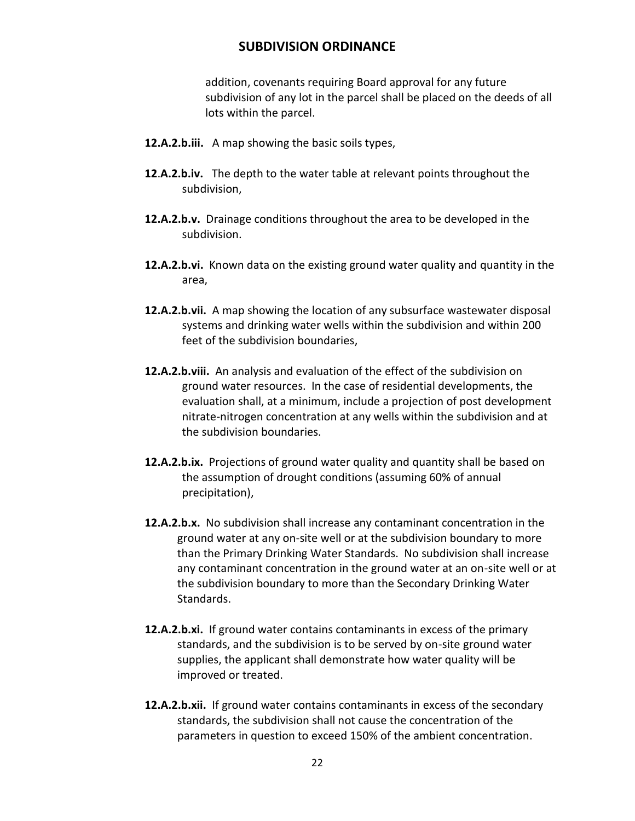addition, covenants requiring Board approval for any future subdivision of any lot in the parcel shall be placed on the deeds of all lots within the parcel.

- **12.A.2.b.iii.** A map showing the basic soils types,
- **12**.**A.2.b.iv.** The depth to the water table at relevant points throughout the subdivision,
- **12.A.2.b.v.** Drainage conditions throughout the area to be developed in the subdivision.
- **12.A.2.b.vi.** Known data on the existing ground water quality and quantity in the area,
- **12.A.2.b.vii.** A map showing the location of any subsurface wastewater disposal systems and drinking water wells within the subdivision and within 200 feet of the subdivision boundaries,
- **12.A.2.b.viii.** An analysis and evaluation of the effect of the subdivision on ground water resources. In the case of residential developments, the evaluation shall, at a minimum, include a projection of post development nitrate-nitrogen concentration at any wells within the subdivision and at the subdivision boundaries.
- **12.A.2.b.ix.** Projections of ground water quality and quantity shall be based on the assumption of drought conditions (assuming 60% of annual precipitation),
- **12.A.2.b.x.** No subdivision shall increase any contaminant concentration in the ground water at any on-site well or at the subdivision boundary to more than the Primary Drinking Water Standards. No subdivision shall increase any contaminant concentration in the ground water at an on-site well or at the subdivision boundary to more than the Secondary Drinking Water Standards.
- **12.A.2.b.xi.** If ground water contains contaminants in excess of the primary standards, and the subdivision is to be served by on-site ground water supplies, the applicant shall demonstrate how water quality will be improved or treated.
- **12.A.2.b.xii.** If ground water contains contaminants in excess of the secondary standards, the subdivision shall not cause the concentration of the parameters in question to exceed 150% of the ambient concentration.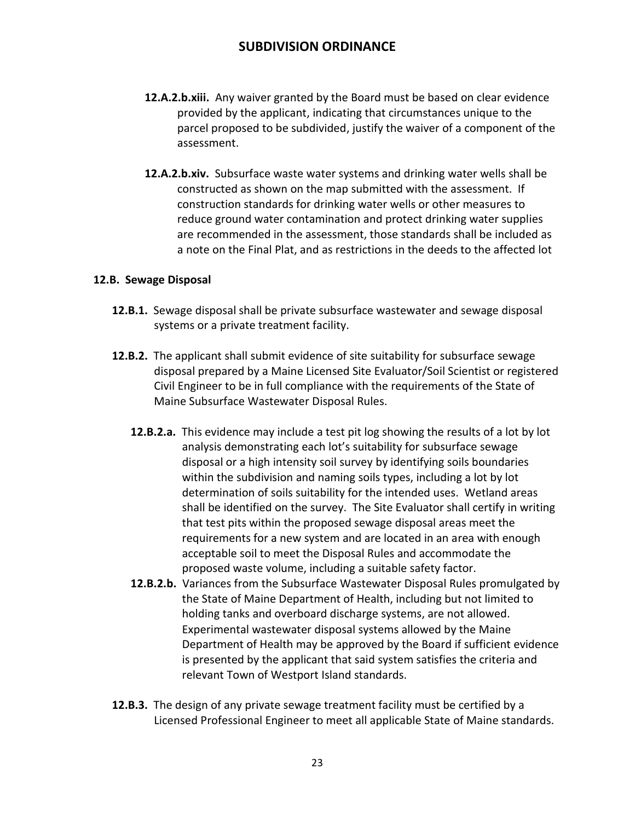- **12.A.2.b.xiii.** Any waiver granted by the Board must be based on clear evidence provided by the applicant, indicating that circumstances unique to the parcel proposed to be subdivided, justify the waiver of a component of the assessment.
- **12.A.2.b.xiv.** Subsurface waste water systems and drinking water wells shall be constructed as shown on the map submitted with the assessment. If construction standards for drinking water wells or other measures to reduce ground water contamination and protect drinking water supplies are recommended in the assessment, those standards shall be included as a note on the Final Plat, and as restrictions in the deeds to the affected lot

#### **12.B. Sewage Disposal**

- **12.B.1.** Sewage disposal shall be private subsurface wastewater and sewage disposal systems or a private treatment facility.
- **12.B.2.** The applicant shall submit evidence of site suitability for subsurface sewage disposal prepared by a Maine Licensed Site Evaluator/Soil Scientist or registered Civil Engineer to be in full compliance with the requirements of the State of Maine Subsurface Wastewater Disposal Rules.
	- **12.B.2.a.** This evidence may include a test pit log showing the results of a lot by lot analysis demonstrating each lot's suitability for subsurface sewage disposal or a high intensity soil survey by identifying soils boundaries within the subdivision and naming soils types, including a lot by lot determination of soils suitability for the intended uses. Wetland areas shall be identified on the survey. The Site Evaluator shall certify in writing that test pits within the proposed sewage disposal areas meet the requirements for a new system and are located in an area with enough acceptable soil to meet the Disposal Rules and accommodate the proposed waste volume, including a suitable safety factor.
	- **12.B.2.b.** Variances from the Subsurface Wastewater Disposal Rules promulgated by the State of Maine Department of Health, including but not limited to holding tanks and overboard discharge systems, are not allowed. Experimental wastewater disposal systems allowed by the Maine Department of Health may be approved by the Board if sufficient evidence is presented by the applicant that said system satisfies the criteria and relevant Town of Westport Island standards.
- **12.B.3.** The design of any private sewage treatment facility must be certified by a Licensed Professional Engineer to meet all applicable State of Maine standards.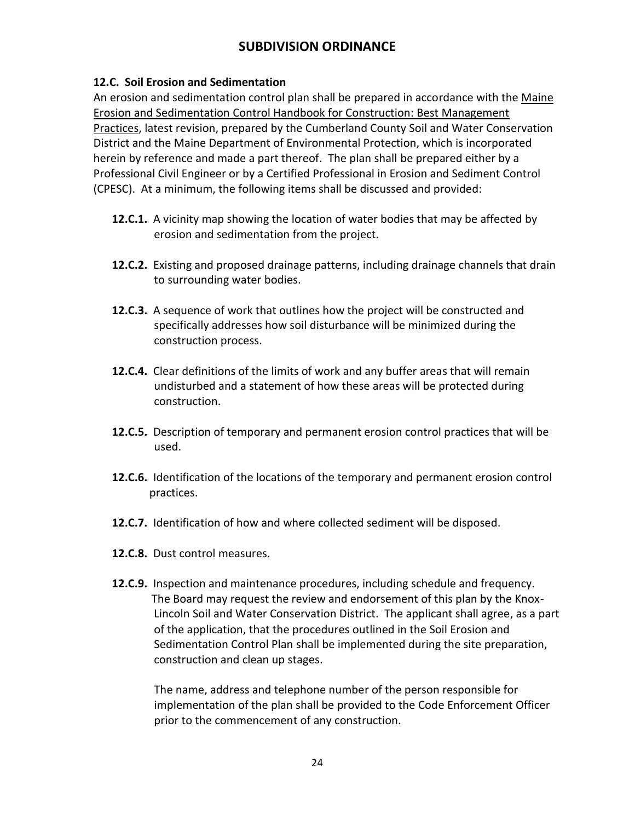## **12.C. Soil Erosion and Sedimentation**

An erosion and sedimentation control plan shall be prepared in accordance with the Maine Erosion and Sedimentation Control Handbook for Construction: Best Management Practices, latest revision, prepared by the Cumberland County Soil and Water Conservation District and the Maine Department of Environmental Protection, which is incorporated herein by reference and made a part thereof. The plan shall be prepared either by a Professional Civil Engineer or by a Certified Professional in Erosion and Sediment Control (CPESC). At a minimum, the following items shall be discussed and provided:

- **12.C.1.** A vicinity map showing the location of water bodies that may be affected by erosion and sedimentation from the project.
- **12.C.2.** Existing and proposed drainage patterns, including drainage channels that drain to surrounding water bodies.
- **12.C.3.** A sequence of work that outlines how the project will be constructed and specifically addresses how soil disturbance will be minimized during the construction process.
- **12.C.4.** Clear definitions of the limits of work and any buffer areas that will remain undisturbed and a statement of how these areas will be protected during construction.
- **12.C.5.** Description of temporary and permanent erosion control practices that will be used.
- **12.C.6.** Identification of the locations of the temporary and permanent erosion control practices.
- **12.C.7.** Identification of how and where collected sediment will be disposed.
- **12.C.8.** Dust control measures.
- **12.C.9.** Inspection and maintenance procedures, including schedule and frequency. The Board may request the review and endorsement of this plan by the Knox-Lincoln Soil and Water Conservation District. The applicant shall agree, as a part of the application, that the procedures outlined in the Soil Erosion and Sedimentation Control Plan shall be implemented during the site preparation, construction and clean up stages.

The name, address and telephone number of the person responsible for implementation of the plan shall be provided to the Code Enforcement Officer prior to the commencement of any construction.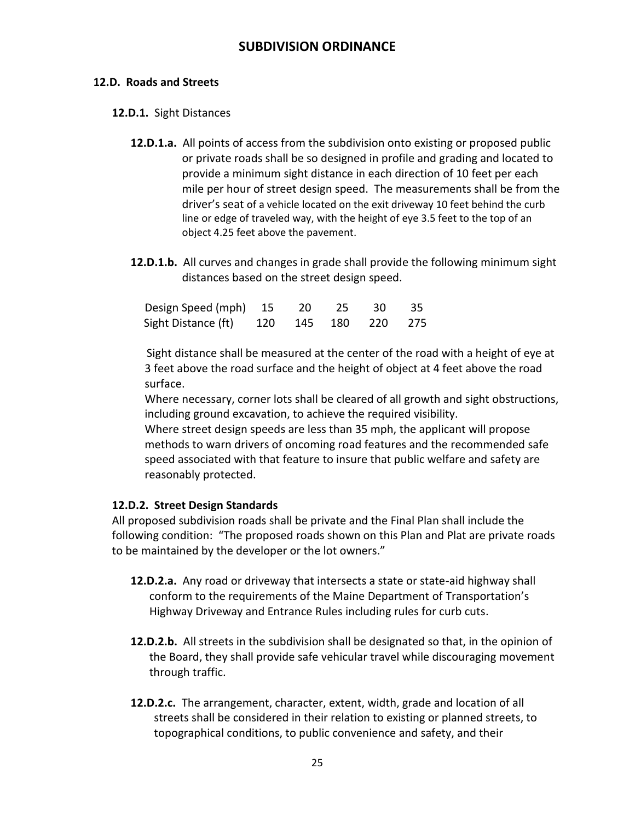## **12.D. Roads and Streets**

### **12.D.1.** Sight Distances

- **12.D.1.a.** All points of access from the subdivision onto existing or proposed public or private roads shall be so designed in profile and grading and located to provide a minimum sight distance in each direction of 10 feet per each mile per hour of street design speed. The measurements shall be from the driver's seat of a vehicle located on the exit driveway 10 feet behind the curb line or edge of traveled way, with the height of eye 3.5 feet to the top of an object 4.25 feet above the pavement.
- **12.D.1.b.** All curves and changes in grade shall provide the following minimum sight distances based on the street design speed.

| Design Speed (mph) 15 20 25 30 35       |  |  |  |
|-----------------------------------------|--|--|--|
| Sight Distance (ft) 120 145 180 220 275 |  |  |  |

 Sight distance shall be measured at the center of the road with a height of eye at 3 feet above the road surface and the height of object at 4 feet above the road surface.

Where necessary, corner lots shall be cleared of all growth and sight obstructions, including ground excavation, to achieve the required visibility.

Where street design speeds are less than 35 mph, the applicant will propose methods to warn drivers of oncoming road features and the recommended safe speed associated with that feature to insure that public welfare and safety are reasonably protected.

## **12.D.2. Street Design Standards**

All proposed subdivision roads shall be private and the Final Plan shall include the following condition: "The proposed roads shown on this Plan and Plat are private roads to be maintained by the developer or the lot owners."

- **12.D.2.a.** Any road or driveway that intersects a state or state-aid highway shall conform to the requirements of the Maine Department of Transportation's Highway Driveway and Entrance Rules including rules for curb cuts.
- **12.D.2.b.** All streets in the subdivision shall be designated so that, in the opinion of the Board, they shall provide safe vehicular travel while discouraging movement through traffic.
- **12.D.2.c.** The arrangement, character, extent, width, grade and location of all streets shall be considered in their relation to existing or planned streets, to topographical conditions, to public convenience and safety, and their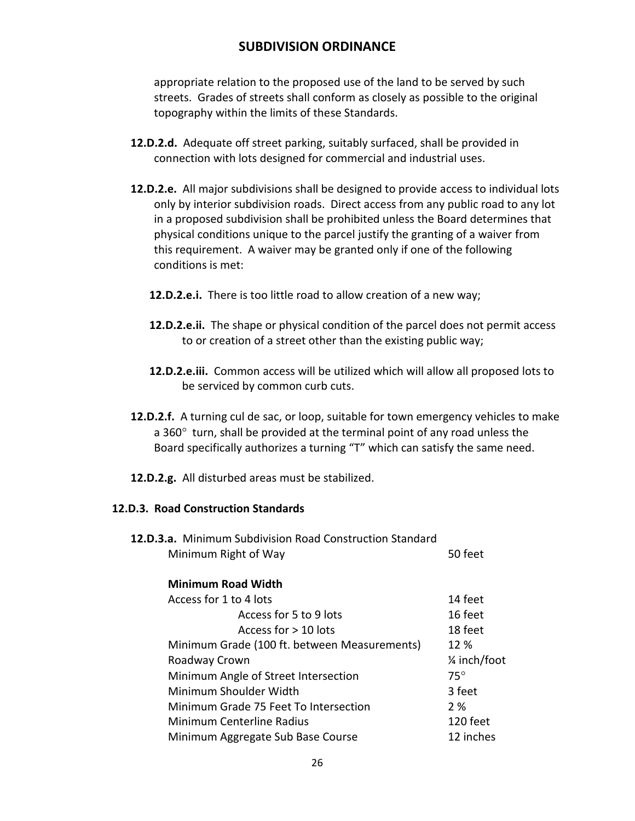appropriate relation to the proposed use of the land to be served by such streets. Grades of streets shall conform as closely as possible to the original topography within the limits of these Standards.

- **12.D.2.d.** Adequate off street parking, suitably surfaced, shall be provided in connection with lots designed for commercial and industrial uses.
- **12.D.2.e.** All major subdivisions shall be designed to provide access to individual lots only by interior subdivision roads. Direct access from any public road to any lot in a proposed subdivision shall be prohibited unless the Board determines that physical conditions unique to the parcel justify the granting of a waiver from this requirement. A waiver may be granted only if one of the following conditions is met:
	- **12.D.2.e.i.** There is too little road to allow creation of a new way;
	- **12.D.2.e.ii.** The shape or physical condition of the parcel does not permit access to or creation of a street other than the existing public way;
	- **12.D.2.e.iii.** Common access will be utilized which will allow all proposed lots to be serviced by common curb cuts.
- **12.D.2.f.** A turning cul de sac, or loop, suitable for town emergency vehicles to make a 360 $^{\circ}$  turn, shall be provided at the terminal point of any road unless the Board specifically authorizes a turning "T" which can satisfy the same need.
- **12.D.2.g.** All disturbed areas must be stabilized.

#### **12.D.3. Road Construction Standards**

| 12.D.3.a. Minimum Subdivision Road Construction Standard |         |
|----------------------------------------------------------|---------|
| Minimum Right of Way                                     | 50 feet |

#### **Minimum Road Width**

| Access for 1 to 4 lots                       | 14 feet       |
|----------------------------------------------|---------------|
| Access for 5 to 9 lots                       | 16 feet       |
| Access for > 10 lots                         | 18 feet       |
| Minimum Grade (100 ft. between Measurements) | 12 %          |
| Roadway Crown                                | 1/4 inch/foot |
| Minimum Angle of Street Intersection         | $75^\circ$    |
| Minimum Shoulder Width                       | 3 feet        |
| Minimum Grade 75 Feet To Intersection        | 2%            |
| Minimum Centerline Radius                    | 120 feet      |
| Minimum Aggregate Sub Base Course            | 12 inches     |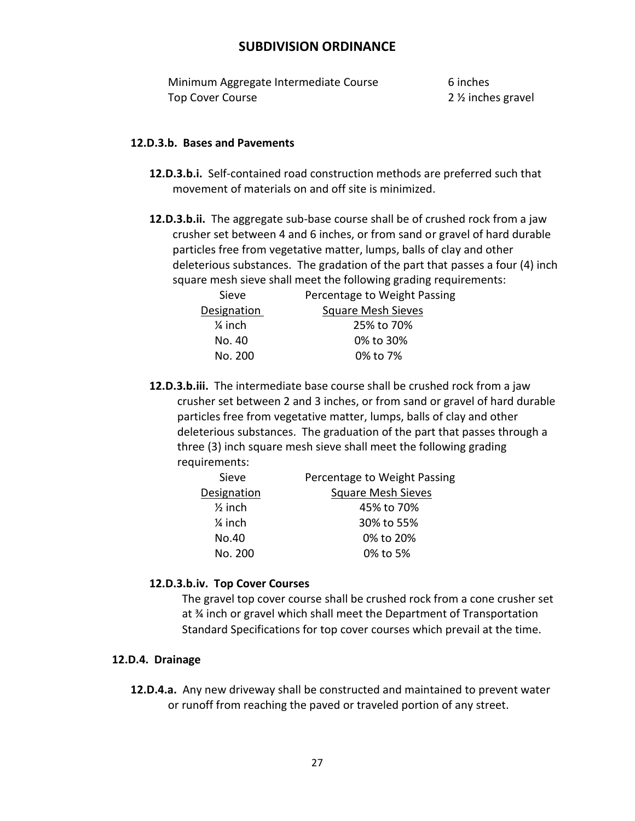Minimum Aggregate Intermediate Course 6 inches Top Cover Course **2** 2 % inches gravel

### **12.D.3.b. Bases and Pavements**

- **12.D.3.b.i.** Self-contained road construction methods are preferred such that movement of materials on and off site is minimized.
- **12.D.3.b.ii.** The aggregate sub-base course shall be of crushed rock from a jaw crusher set between 4 and 6 inches, or from sand or gravel of hard durable particles free from vegetative matter, lumps, balls of clay and other deleterious substances. The gradation of the part that passes a four (4) inch square mesh sieve shall meet the following grading requirements:

| Sieve              | Percentage to Weight Passing |
|--------------------|------------------------------|
| Designation        | <b>Square Mesh Sieves</b>    |
| $\frac{1}{4}$ inch | 25% to 70%                   |
| No. 40             | 0% to 30%                    |
| No. 200            | 0% to 7%                     |

**12.D.3.b.iii.** The intermediate base course shall be crushed rock from a jaw crusher set between 2 and 3 inches, or from sand or gravel of hard durable particles free from vegetative matter, lumps, balls of clay and other deleterious substances. The graduation of the part that passes through a three (3) inch square mesh sieve shall meet the following grading requirements:

| Sieve              | Percentage to Weight Passing |
|--------------------|------------------------------|
| Designation        | <b>Square Mesh Sieves</b>    |
| $\frac{1}{2}$ inch | 45% to 70%                   |
| $\frac{1}{4}$ inch | 30% to 55%                   |
| No.40              | 0% to 20%                    |
| No. 200            | 0% to 5%                     |
|                    |                              |

### **12.D.3.b.iv. Top Cover Courses**

The gravel top cover course shall be crushed rock from a cone crusher set at ¾ inch or gravel which shall meet the Department of Transportation Standard Specifications for top cover courses which prevail at the time.

#### **12.D.4. Drainage**

**12.D.4.a.** Any new driveway shall be constructed and maintained to prevent water or runoff from reaching the paved or traveled portion of any street.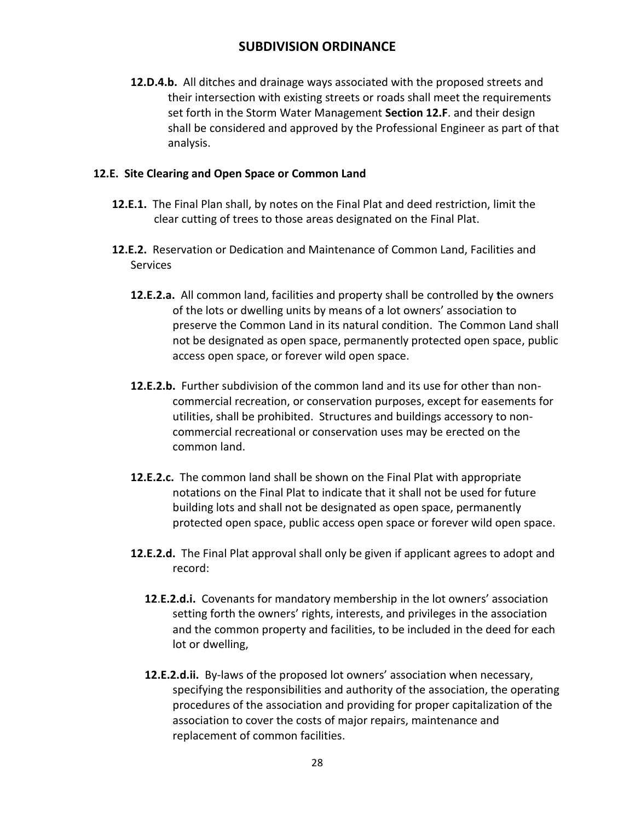**12.D.4.b.** All ditches and drainage ways associated with the proposed streets and their intersection with existing streets or roads shall meet the requirements set forth in the Storm Water Management **Section 12.F**. and their design shall be considered and approved by the Professional Engineer as part of that analysis.

## **12.E. Site Clearing and Open Space or Common Land**

- **12.E.1.** The Final Plan shall, by notes on the Final Plat and deed restriction, limit the clear cutting of trees to those areas designated on the Final Plat.
- **12.E.2.** Reservation or Dedication and Maintenance of Common Land, Facilities and **Services** 
	- **12.E.2.a.** All common land, facilities and property shall be controlled by **t**he owners of the lots or dwelling units by means of a lot owners' association to preserve the Common Land in its natural condition. The Common Land shall not be designated as open space, permanently protected open space, public access open space, or forever wild open space.
	- **12.E.2.b.** Further subdivision of the common land and its use for other than noncommercial recreation, or conservation purposes, except for easements for utilities, shall be prohibited. Structures and buildings accessory to noncommercial recreational or conservation uses may be erected on the common land.
	- **12.E.2.c.** The common land shall be shown on the Final Plat with appropriate notations on the Final Plat to indicate that it shall not be used for future building lots and shall not be designated as open space, permanently protected open space, public access open space or forever wild open space.
	- **12.E.2.d.** The Final Plat approval shall only be given if applicant agrees to adopt and record:
		- **12**.**E.2.d.i.** Covenants for mandatory membership in the lot owners' association setting forth the owners' rights, interests, and privileges in the association and the common property and facilities, to be included in the deed for each lot or dwelling,
		- **12.E.2.d.ii.** By-laws of the proposed lot owners' association when necessary, specifying the responsibilities and authority of the association, the operating procedures of the association and providing for proper capitalization of the association to cover the costs of major repairs, maintenance and replacement of common facilities.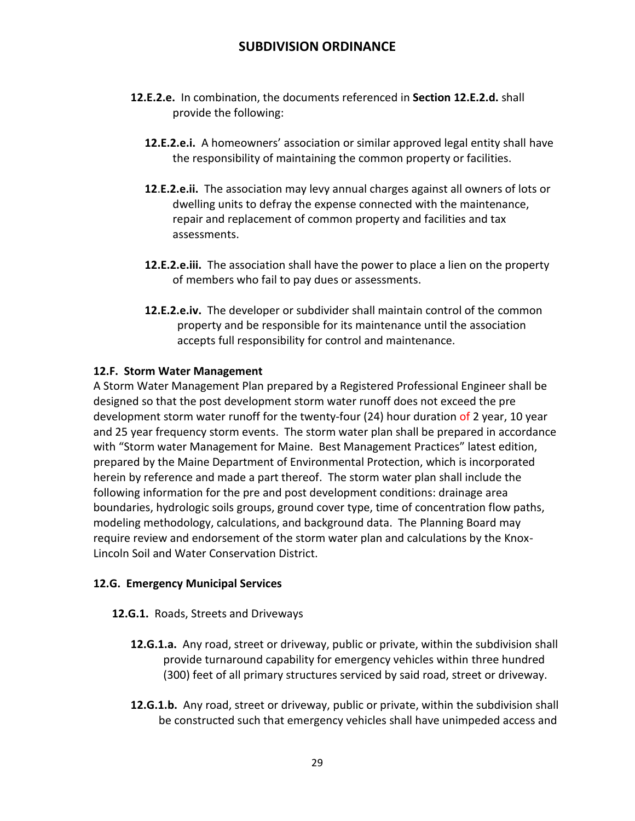- **12.E.2.e.** In combination, the documents referenced in **Section 12.E.2.d.** shall provide the following:
	- **12.E.2.e.i.** A homeowners' association or similar approved legal entity shall have the responsibility of maintaining the common property or facilities.
	- **12**.**E.2.e.ii.** The association may levy annual charges against all owners of lots or dwelling units to defray the expense connected with the maintenance, repair and replacement of common property and facilities and tax assessments.
	- **12.E.2.e.iii.** The association shall have the power to place a lien on the property of members who fail to pay dues or assessments.
	- **12.E.2.e.iv.** The developer or subdivider shall maintain control of the common property and be responsible for its maintenance until the association accepts full responsibility for control and maintenance.

## **12.F. Storm Water Management**

A Storm Water Management Plan prepared by a Registered Professional Engineer shall be designed so that the post development storm water runoff does not exceed the pre development storm water runoff for the twenty-four (24) hour duration of 2 year, 10 year and 25 year frequency storm events. The storm water plan shall be prepared in accordance with "Storm water Management for Maine. Best Management Practices" latest edition, prepared by the Maine Department of Environmental Protection, which is incorporated herein by reference and made a part thereof. The storm water plan shall include the following information for the pre and post development conditions: drainage area boundaries, hydrologic soils groups, ground cover type, time of concentration flow paths, modeling methodology, calculations, and background data. The Planning Board may require review and endorsement of the storm water plan and calculations by the Knox-Lincoln Soil and Water Conservation District.

## **12.G. Emergency Municipal Services**

### **12.G.1.** Roads, Streets and Driveways

- **12.G.1.a.** Any road, street or driveway, public or private, within the subdivision shall provide turnaround capability for emergency vehicles within three hundred (300) feet of all primary structures serviced by said road, street or driveway.
- **12.G.1.b.** Any road, street or driveway, public or private, within the subdivision shall be constructed such that emergency vehicles shall have unimpeded access and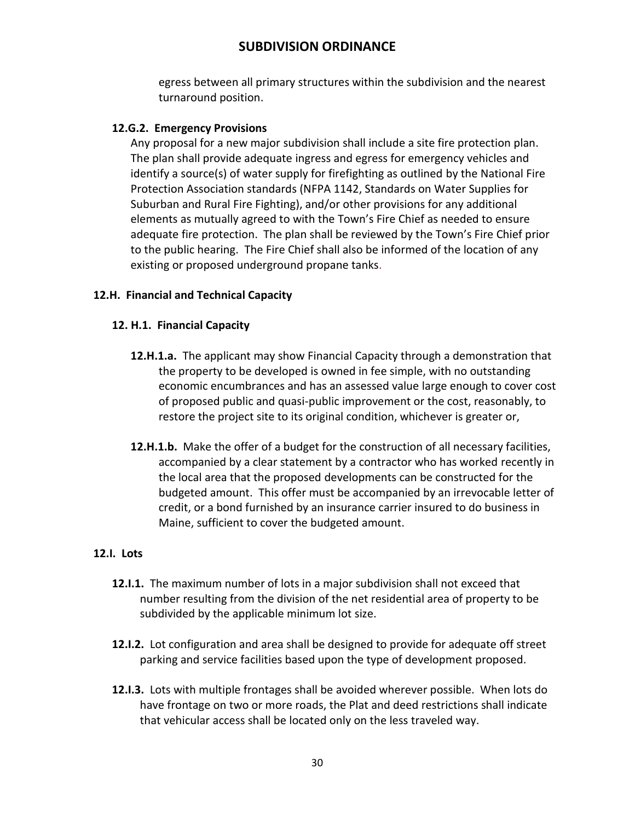egress between all primary structures within the subdivision and the nearest turnaround position.

### **12.G.2. Emergency Provisions**

Any proposal for a new major subdivision shall include a site fire protection plan. The plan shall provide adequate ingress and egress for emergency vehicles and identify a source(s) of water supply for firefighting as outlined by the National Fire Protection Association standards (NFPA 1142, Standards on Water Supplies for Suburban and Rural Fire Fighting), and/or other provisions for any additional elements as mutually agreed to with the Town's Fire Chief as needed to ensure adequate fire protection. The plan shall be reviewed by the Town's Fire Chief prior to the public hearing. The Fire Chief shall also be informed of the location of any existing or proposed underground propane tanks.

## **12.H. Financial and Technical Capacity**

## **12. H.1. Financial Capacity**

- **12.H.1.a.** The applicant may show Financial Capacity through a demonstration that the property to be developed is owned in fee simple, with no outstanding economic encumbrances and has an assessed value large enough to cover cost of proposed public and quasi-public improvement or the cost, reasonably, to restore the project site to its original condition, whichever is greater or,
- **12.H.1.b.** Make the offer of a budget for the construction of all necessary facilities, accompanied by a clear statement by a contractor who has worked recently in the local area that the proposed developments can be constructed for the budgeted amount. This offer must be accompanied by an irrevocable letter of credit, or a bond furnished by an insurance carrier insured to do business in Maine, sufficient to cover the budgeted amount.

## **12.I. Lots**

- **12.I.1.** The maximum number of lots in a major subdivision shall not exceed that number resulting from the division of the net residential area of property to be subdivided by the applicable minimum lot size.
- **12.I.2.** Lot configuration and area shall be designed to provide for adequate off street parking and service facilities based upon the type of development proposed.
- **12.I.3.** Lots with multiple frontages shall be avoided wherever possible. When lots do have frontage on two or more roads, the Plat and deed restrictions shall indicate that vehicular access shall be located only on the less traveled way.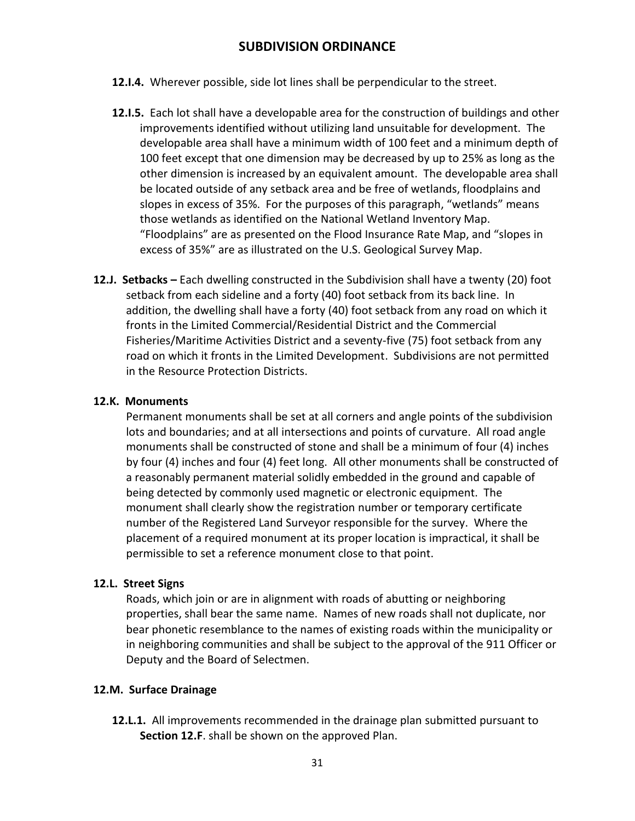- **12.I.4.** Wherever possible, side lot lines shall be perpendicular to the street.
- **12.I.5.** Each lot shall have a developable area for the construction of buildings and other improvements identified without utilizing land unsuitable for development. The developable area shall have a minimum width of 100 feet and a minimum depth of 100 feet except that one dimension may be decreased by up to 25% as long as the other dimension is increased by an equivalent amount. The developable area shall be located outside of any setback area and be free of wetlands, floodplains and slopes in excess of 35%. For the purposes of this paragraph, "wetlands" means those wetlands as identified on the National Wetland Inventory Map. "Floodplains" are as presented on the Flood Insurance Rate Map, and "slopes in excess of 35%" are as illustrated on the U.S. Geological Survey Map.
- **12.J. Setbacks –** Each dwelling constructed in the Subdivision shall have a twenty (20) foot setback from each sideline and a forty (40) foot setback from its back line. In addition, the dwelling shall have a forty (40) foot setback from any road on which it fronts in the Limited Commercial/Residential District and the Commercial Fisheries/Maritime Activities District and a seventy-five (75) foot setback from any road on which it fronts in the Limited Development. Subdivisions are not permitted in the Resource Protection Districts.

#### **12.K. Monuments**

Permanent monuments shall be set at all corners and angle points of the subdivision lots and boundaries; and at all intersections and points of curvature. All road angle monuments shall be constructed of stone and shall be a minimum of four (4) inches by four (4) inches and four (4) feet long. All other monuments shall be constructed of a reasonably permanent material solidly embedded in the ground and capable of being detected by commonly used magnetic or electronic equipment. The monument shall clearly show the registration number or temporary certificate number of the Registered Land Surveyor responsible for the survey. Where the placement of a required monument at its proper location is impractical, it shall be permissible to set a reference monument close to that point.

### **12.L. Street Signs**

Roads, which join or are in alignment with roads of abutting or neighboring properties, shall bear the same name. Names of new roads shall not duplicate, nor bear phonetic resemblance to the names of existing roads within the municipality or in neighboring communities and shall be subject to the approval of the 911 Officer or Deputy and the Board of Selectmen.

#### **12.M. Surface Drainage**

**12.L.1.** All improvements recommended in the drainage plan submitted pursuant to **Section 12.F**. shall be shown on the approved Plan.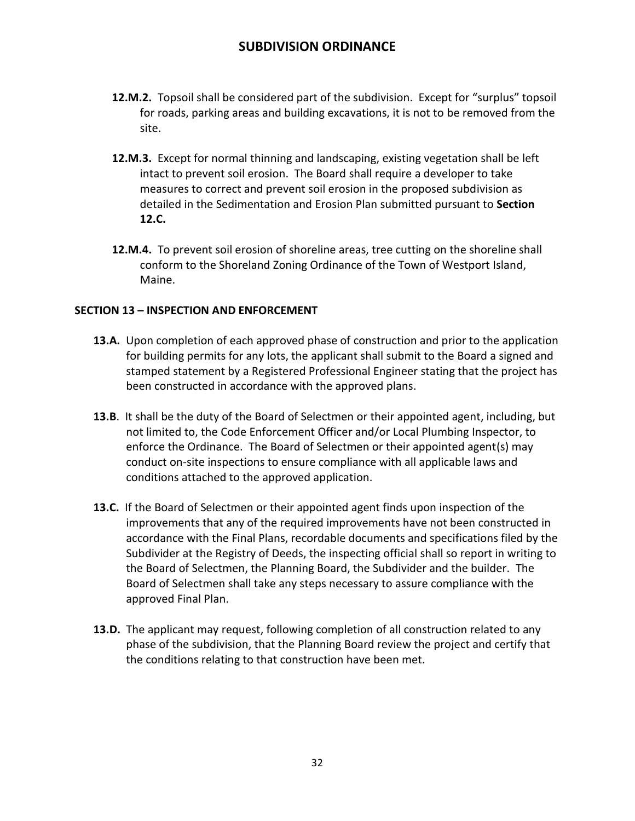- **12.M.2.** Topsoil shall be considered part of the subdivision. Except for "surplus" topsoil for roads, parking areas and building excavations, it is not to be removed from the site.
- **12.M.3.** Except for normal thinning and landscaping, existing vegetation shall be left intact to prevent soil erosion. The Board shall require a developer to take measures to correct and prevent soil erosion in the proposed subdivision as detailed in the Sedimentation and Erosion Plan submitted pursuant to **Section 12.C.**
- **12.M.4.** To prevent soil erosion of shoreline areas, tree cutting on the shoreline shall conform to the Shoreland Zoning Ordinance of the Town of Westport Island, Maine.

### **SECTION 13 – INSPECTION AND ENFORCEMENT**

- **13.A.** Upon completion of each approved phase of construction and prior to the application for building permits for any lots, the applicant shall submit to the Board a signed and stamped statement by a Registered Professional Engineer stating that the project has been constructed in accordance with the approved plans.
- **13.B**. It shall be the duty of the Board of Selectmen or their appointed agent, including, but not limited to, the Code Enforcement Officer and/or Local Plumbing Inspector, to enforce the Ordinance. The Board of Selectmen or their appointed agent(s) may conduct on-site inspections to ensure compliance with all applicable laws and conditions attached to the approved application.
- **13.C.** If the Board of Selectmen or their appointed agent finds upon inspection of the improvements that any of the required improvements have not been constructed in accordance with the Final Plans, recordable documents and specifications filed by the Subdivider at the Registry of Deeds, the inspecting official shall so report in writing to the Board of Selectmen, the Planning Board, the Subdivider and the builder. The Board of Selectmen shall take any steps necessary to assure compliance with the approved Final Plan.
- **13.D.** The applicant may request, following completion of all construction related to any phase of the subdivision, that the Planning Board review the project and certify that the conditions relating to that construction have been met.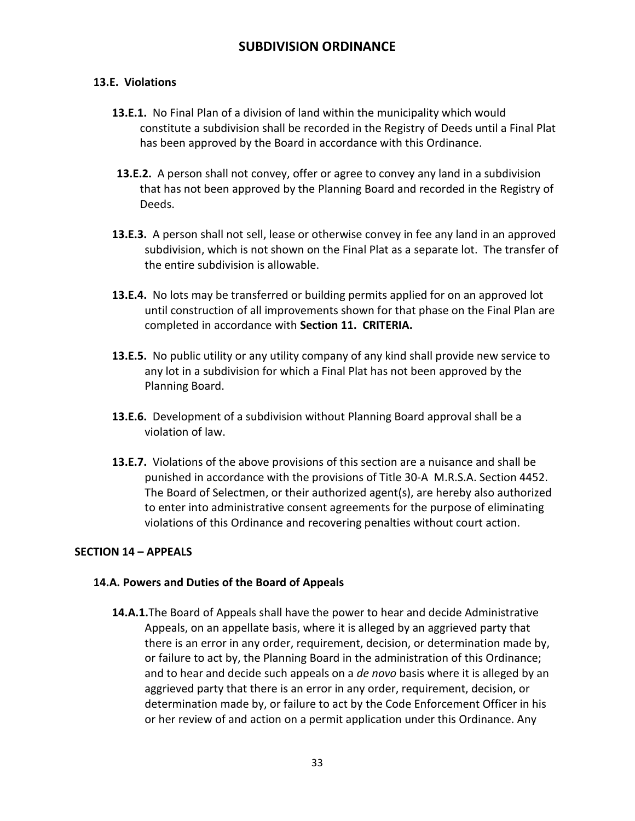## **13.E. Violations**

- **13.E.1.** No Final Plan of a division of land within the municipality which would constitute a subdivision shall be recorded in the Registry of Deeds until a Final Plat has been approved by the Board in accordance with this Ordinance.
- **13.E.2.** A person shall not convey, offer or agree to convey any land in a subdivision that has not been approved by the Planning Board and recorded in the Registry of Deeds.
- **13.E.3.** A person shall not sell, lease or otherwise convey in fee any land in an approved subdivision, which is not shown on the Final Plat as a separate lot. The transfer of the entire subdivision is allowable.
- **13.E.4.** No lots may be transferred or building permits applied for on an approved lot until construction of all improvements shown for that phase on the Final Plan are completed in accordance with **Section 11. CRITERIA.**
- **13.E.5.** No public utility or any utility company of any kind shall provide new service to any lot in a subdivision for which a Final Plat has not been approved by the Planning Board.
- **13.E.6.** Development of a subdivision without Planning Board approval shall be a violation of law.
- **13.E.7.** Violations of the above provisions of this section are a nuisance and shall be punished in accordance with the provisions of Title 30-A M.R.S.A. Section 4452. The Board of Selectmen, or their authorized agent(s), are hereby also authorized to enter into administrative consent agreements for the purpose of eliminating violations of this Ordinance and recovering penalties without court action.

### **SECTION 14 – APPEALS**

### **14.A. Powers and Duties of the Board of Appeals**

**14.A.1.**The Board of Appeals shall have the power to hear and decide Administrative Appeals, on an appellate basis, where it is alleged by an aggrieved party that there is an error in any order, requirement, decision, or determination made by, or failure to act by, the Planning Board in the administration of this Ordinance; and to hear and decide such appeals on a *de novo* basis where it is alleged by an aggrieved party that there is an error in any order, requirement, decision, or determination made by, or failure to act by the Code Enforcement Officer in his or her review of and action on a permit application under this Ordinance. Any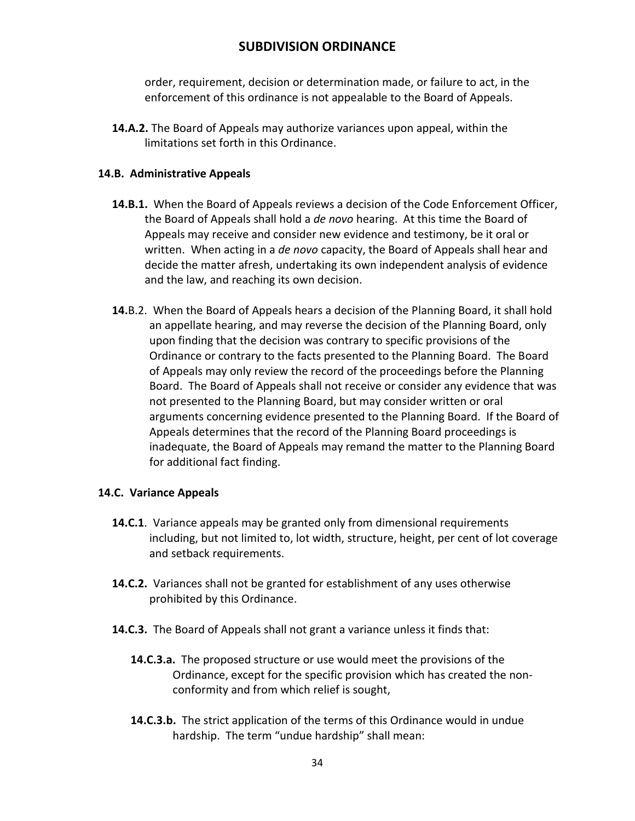order, requirement, decision or determination made, or failure to act, in the enforcement of this ordinance is not appealable to the Board of Appeals.

**14.A.2.** The Board of Appeals may authorize variances upon appeal, within the limitations set forth in this Ordinance.

### **14.B. Administrative Appeals**

- **14.B.1.** When the Board of Appeals reviews a decision of the Code Enforcement Officer, the Board of Appeals shall hold a *de novo* hearing. At this time the Board of Appeals may receive and consider new evidence and testimony, be it oral or written. When acting in a *de novo* capacity, the Board of Appeals shall hear and decide the matter afresh, undertaking its own independent analysis of evidence and the law, and reaching its own decision.
- **14.**B.2. When the Board of Appeals hears a decision of the Planning Board, it shall hold an appellate hearing, and may reverse the decision of the Planning Board, only upon finding that the decision was contrary to specific provisions of the Ordinance or contrary to the facts presented to the Planning Board. The Board of Appeals may only review the record of the proceedings before the Planning Board. The Board of Appeals shall not receive or consider any evidence that was not presented to the Planning Board, but may consider written or oral arguments concerning evidence presented to the Planning Board. If the Board of Appeals determines that the record of the Planning Board proceedings is inadequate, the Board of Appeals may remand the matter to the Planning Board for additional fact finding.

### **14.C. Variance Appeals**

- **14.C.1**. Variance appeals may be granted only from dimensional requirements including, but not limited to, lot width, structure, height, per cent of lot coverage and setback requirements.
- **14.C.2.** Variances shall not be granted for establishment of any uses otherwise prohibited by this Ordinance.
- **14.C.3.** The Board of Appeals shall not grant a variance unless it finds that:
	- **14.C.3.a.** The proposed structure or use would meet the provisions of the Ordinance, except for the specific provision which has created the nonconformity and from which relief is sought,
	- **14.C.3.b.** The strict application of the terms of this Ordinance would in undue hardship. The term "undue hardship" shall mean: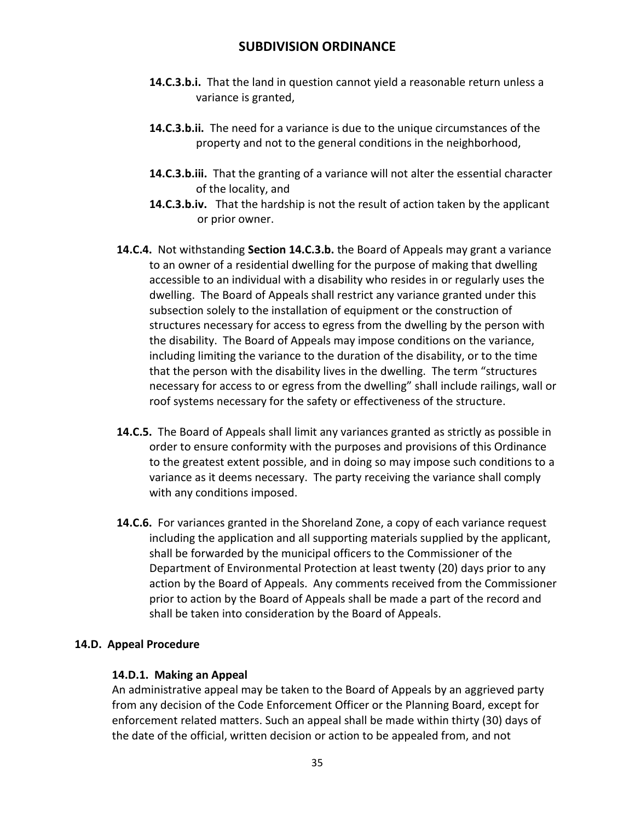- **14.C.3.b.i.** That the land in question cannot yield a reasonable return unless a variance is granted,
- **14.C.3.b.ii.** The need for a variance is due to the unique circumstances of the property and not to the general conditions in the neighborhood,
- **14.C.3.b.iii.** That the granting of a variance will not alter the essential character of the locality, and
- **14.C.3.b.iv.** That the hardship is not the result of action taken by the applicant or prior owner.
- **14.C.4.** Not withstanding **Section 14.C.3.b.** the Board of Appeals may grant a variance to an owner of a residential dwelling for the purpose of making that dwelling accessible to an individual with a disability who resides in or regularly uses the dwelling. The Board of Appeals shall restrict any variance granted under this subsection solely to the installation of equipment or the construction of structures necessary for access to egress from the dwelling by the person with the disability. The Board of Appeals may impose conditions on the variance, including limiting the variance to the duration of the disability, or to the time that the person with the disability lives in the dwelling. The term "structures necessary for access to or egress from the dwelling" shall include railings, wall or roof systems necessary for the safety or effectiveness of the structure.
- **14.C.5.** The Board of Appeals shall limit any variances granted as strictly as possible in order to ensure conformity with the purposes and provisions of this Ordinance to the greatest extent possible, and in doing so may impose such conditions to a variance as it deems necessary. The party receiving the variance shall comply with any conditions imposed.
- **14.C.6.** For variances granted in the Shoreland Zone, a copy of each variance request including the application and all supporting materials supplied by the applicant, shall be forwarded by the municipal officers to the Commissioner of the Department of Environmental Protection at least twenty (20) days prior to any action by the Board of Appeals. Any comments received from the Commissioner prior to action by the Board of Appeals shall be made a part of the record and shall be taken into consideration by the Board of Appeals.

## **14.D. Appeal Procedure**

### **14.D.1. Making an Appeal**

An administrative appeal may be taken to the Board of Appeals by an aggrieved party from any decision of the Code Enforcement Officer or the Planning Board, except for enforcement related matters. Such an appeal shall be made within thirty (30) days of the date of the official, written decision or action to be appealed from, and not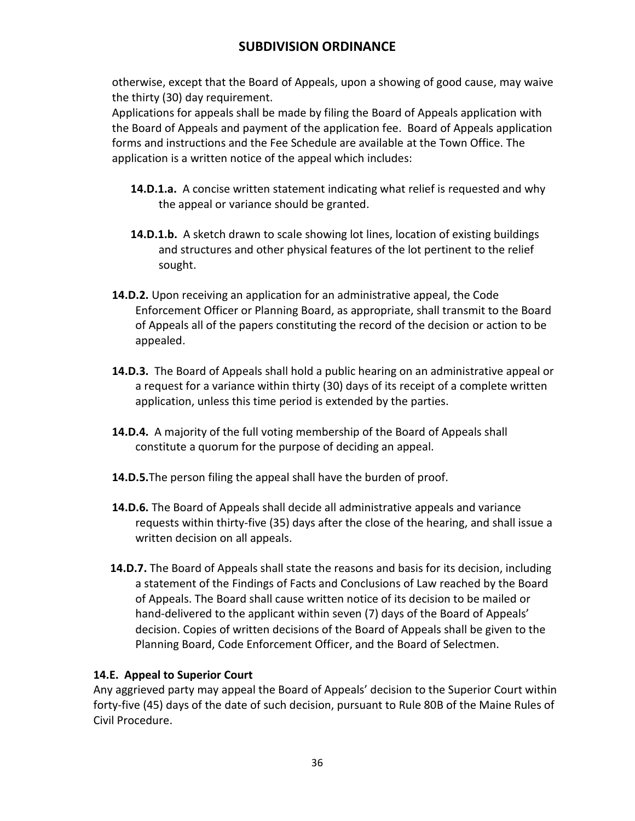otherwise, except that the Board of Appeals, upon a showing of good cause, may waive the thirty (30) day requirement.

Applications for appeals shall be made by filing the Board of Appeals application with the Board of Appeals and payment of the application fee. Board of Appeals application forms and instructions and the Fee Schedule are available at the Town Office. The application is a written notice of the appeal which includes:

- **14.D.1.a.** A concise written statement indicating what relief is requested and why the appeal or variance should be granted.
- **14.D.1.b.** A sketch drawn to scale showing lot lines, location of existing buildings and structures and other physical features of the lot pertinent to the relief sought.
- **14.D.2.** Upon receiving an application for an administrative appeal, the Code Enforcement Officer or Planning Board, as appropriate, shall transmit to the Board of Appeals all of the papers constituting the record of the decision or action to be appealed.
- **14.D.3.** The Board of Appeals shall hold a public hearing on an administrative appeal or a request for a variance within thirty (30) days of its receipt of a complete written application, unless this time period is extended by the parties.
- **14.D.4.** A majority of the full voting membership of the Board of Appeals shall constitute a quorum for the purpose of deciding an appeal.
- **14.D.5.**The person filing the appeal shall have the burden of proof.
- **14.D.6.** The Board of Appeals shall decide all administrative appeals and variance requests within thirty-five (35) days after the close of the hearing, and shall issue a written decision on all appeals.
- **14.D.7.** The Board of Appeals shall state the reasons and basis for its decision, including a statement of the Findings of Facts and Conclusions of Law reached by the Board of Appeals. The Board shall cause written notice of its decision to be mailed or hand-delivered to the applicant within seven (7) days of the Board of Appeals' decision. Copies of written decisions of the Board of Appeals shall be given to the Planning Board, Code Enforcement Officer, and the Board of Selectmen.

## **14.E. Appeal to Superior Court**

Any aggrieved party may appeal the Board of Appeals' decision to the Superior Court within forty-five (45) days of the date of such decision, pursuant to Rule 80B of the Maine Rules of Civil Procedure.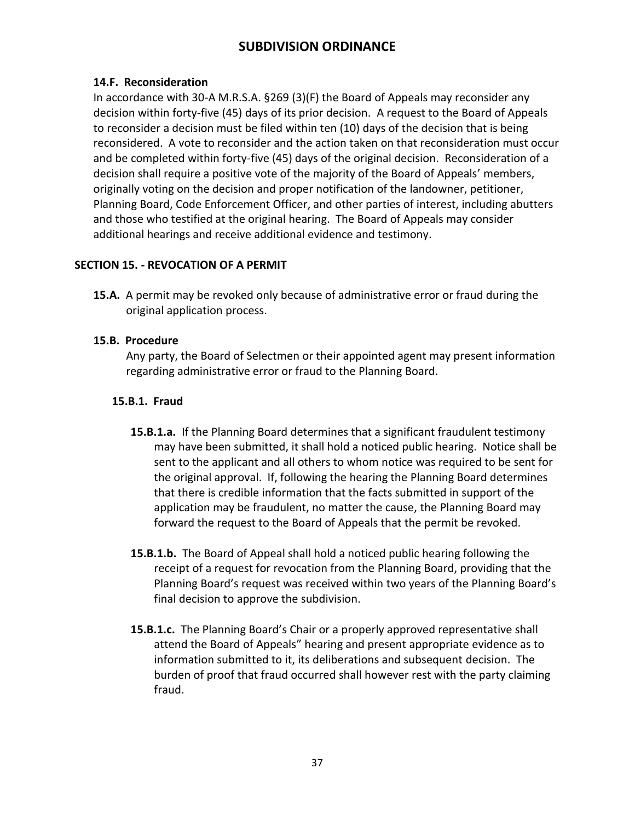## **14.F. Reconsideration**

In accordance with 30-A M.R.S.A. §269 (3)(F) the Board of Appeals may reconsider any decision within forty-five (45) days of its prior decision. A request to the Board of Appeals to reconsider a decision must be filed within ten (10) days of the decision that is being reconsidered. A vote to reconsider and the action taken on that reconsideration must occur and be completed within forty-five (45) days of the original decision. Reconsideration of a decision shall require a positive vote of the majority of the Board of Appeals' members, originally voting on the decision and proper notification of the landowner, petitioner, Planning Board, Code Enforcement Officer, and other parties of interest, including abutters and those who testified at the original hearing. The Board of Appeals may consider additional hearings and receive additional evidence and testimony.

## **SECTION 15. - REVOCATION OF A PERMIT**

**15.A.** A permit may be revoked only because of administrative error or fraud during the original application process.

## **15.B. Procedure**

Any party, the Board of Selectmen or their appointed agent may present information regarding administrative error or fraud to the Planning Board.

## **15.B.1. Fraud**

- **15.B.1.a.** If the Planning Board determines that a significant fraudulent testimony may have been submitted, it shall hold a noticed public hearing. Notice shall be sent to the applicant and all others to whom notice was required to be sent for the original approval. If, following the hearing the Planning Board determines that there is credible information that the facts submitted in support of the application may be fraudulent, no matter the cause, the Planning Board may forward the request to the Board of Appeals that the permit be revoked.
- **15.B.1.b.** The Board of Appeal shall hold a noticed public hearing following the receipt of a request for revocation from the Planning Board, providing that the Planning Board's request was received within two years of the Planning Board's final decision to approve the subdivision.
- **15.B.1.c.** The Planning Board's Chair or a properly approved representative shall attend the Board of Appeals" hearing and present appropriate evidence as to information submitted to it, its deliberations and subsequent decision. The burden of proof that fraud occurred shall however rest with the party claiming fraud.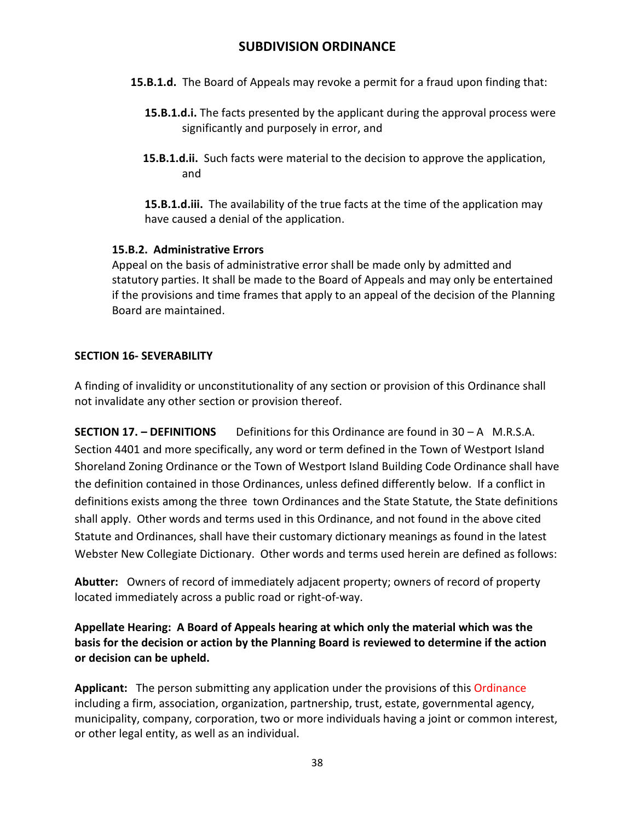- **15.B.1.d.** The Board of Appeals may revoke a permit for a fraud upon finding that:
	- **15.B.1.d.i.** The facts presented by the applicant during the approval process were significantly and purposely in error, and
	- **15.B.1.d.ii.** Such facts were material to the decision to approve the application, and

**15.B.1.d.iii.** The availability of the true facts at the time of the application may have caused a denial of the application.

## **15.B.2. Administrative Errors**

Appeal on the basis of administrative error shall be made only by admitted and statutory parties. It shall be made to the Board of Appeals and may only be entertained if the provisions and time frames that apply to an appeal of the decision of the Planning Board are maintained.

## **SECTION 16- SEVERABILITY**

A finding of invalidity or unconstitutionality of any section or provision of this Ordinance shall not invalidate any other section or provision thereof.

**SECTION 17. – DEFINITIONS** Definitions for this Ordinance are found in 30 – A M.R.S.A. Section 4401 and more specifically, any word or term defined in the Town of Westport Island Shoreland Zoning Ordinance or the Town of Westport Island Building Code Ordinance shall have the definition contained in those Ordinances, unless defined differently below. If a conflict in definitions exists among the three town Ordinances and the State Statute, the State definitions shall apply. Other words and terms used in this Ordinance, and not found in the above cited Statute and Ordinances, shall have their customary dictionary meanings as found in the latest Webster New Collegiate Dictionary. Other words and terms used herein are defined as follows:

**Abutter:** Owners of record of immediately adjacent property; owners of record of property located immediately across a public road or right-of-way.

## **Appellate Hearing: A Board of Appeals hearing at which only the material which was the basis for the decision or action by the Planning Board is reviewed to determine if the action or decision can be upheld.**

**Applicant:** The person submitting any application under the provisions of this Ordinance including a firm, association, organization, partnership, trust, estate, governmental agency, municipality, company, corporation, two or more individuals having a joint or common interest, or other legal entity, as well as an individual.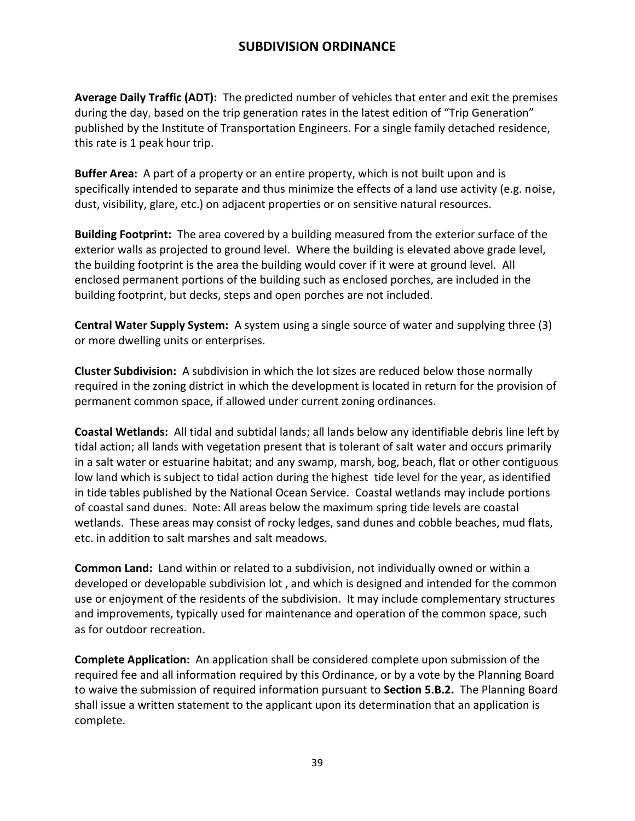**Average Daily Traffic (ADT):** The predicted number of vehicles that enter and exit the premises during the day, based on the trip generation rates in the latest edition of "Trip Generation" published by the Institute of Transportation Engineers. For a single family detached residence, this rate is 1 peak hour trip.

**Buffer Area:** A part of a property or an entire property, which is not built upon and is specifically intended to separate and thus minimize the effects of a land use activity (e.g. noise, dust, visibility, glare, etc.) on adjacent properties or on sensitive natural resources.

**Building Footprint:** The area covered by a building measured from the exterior surface of the exterior walls as projected to ground level. Where the building is elevated above grade level, the building footprint is the area the building would cover if it were at ground level. All enclosed permanent portions of the building such as enclosed porches, are included in the building footprint, but decks, steps and open porches are not included.

**Central Water Supply System:** A system using a single source of water and supplying three (3) or more dwelling units or enterprises.

**Cluster Subdivision:** A subdivision in which the lot sizes are reduced below those normally required in the zoning district in which the development is located in return for the provision of permanent common space, if allowed under current zoning ordinances.

**Coastal Wetlands:** All tidal and subtidal lands; all lands below any identifiable debris line left by tidal action; all lands with vegetation present that is tolerant of salt water and occurs primarily in a salt water or estuarine habitat; and any swamp, marsh, bog, beach, flat or other contiguous low land which is subject to tidal action during the highest tide level for the year, as identified in tide tables published by the National Ocean Service. Coastal wetlands may include portions of coastal sand dunes. Note: All areas below the maximum spring tide levels are coastal wetlands. These areas may consist of rocky ledges, sand dunes and cobble beaches, mud flats, etc. in addition to salt marshes and salt meadows.

**Common Land:** Land within or related to a subdivision, not individually owned or within a developed or developable subdivision lot , and which is designed and intended for the common use or enjoyment of the residents of the subdivision. It may include complementary structures and improvements, typically used for maintenance and operation of the common space, such as for outdoor recreation.

**Complete Application:** An application shall be considered complete upon submission of the required fee and all information required by this Ordinance, or by a vote by the Planning Board to waive the submission of required information pursuant to **Section 5.B.2.** The Planning Board shall issue a written statement to the applicant upon its determination that an application is complete.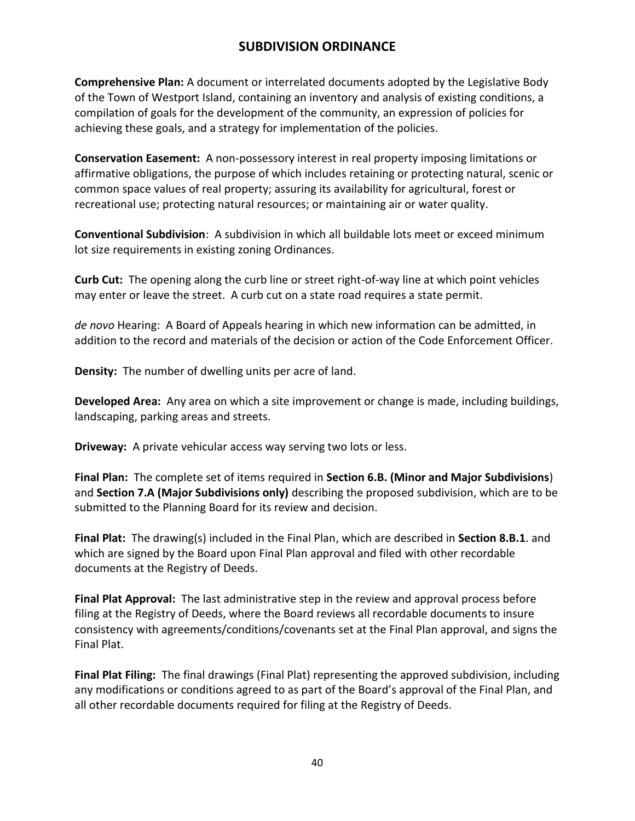**Comprehensive Plan:** A document or interrelated documents adopted by the Legislative Body of the Town of Westport Island, containing an inventory and analysis of existing conditions, a compilation of goals for the development of the community, an expression of policies for achieving these goals, and a strategy for implementation of the policies.

**Conservation Easement:** A non-possessory interest in real property imposing limitations or affirmative obligations, the purpose of which includes retaining or protecting natural, scenic or common space values of real property; assuring its availability for agricultural, forest or recreational use; protecting natural resources; or maintaining air or water quality.

**Conventional Subdivision**: A subdivision in which all buildable lots meet or exceed minimum lot size requirements in existing zoning Ordinances.

**Curb Cut:** The opening along the curb line or street right-of-way line at which point vehicles may enter or leave the street. A curb cut on a state road requires a state permit.

*de novo* Hearing: A Board of Appeals hearing in which new information can be admitted, in addition to the record and materials of the decision or action of the Code Enforcement Officer.

**Density:** The number of dwelling units per acre of land.

**Developed Area:** Any area on which a site improvement or change is made, including buildings, landscaping, parking areas and streets.

**Driveway:** A private vehicular access way serving two lots or less.

**Final Plan:** The complete set of items required in **Section 6.B. (Minor and Major Subdivisions**) and **Section 7.A (Major Subdivisions only)** describing the proposed subdivision, which are to be submitted to the Planning Board for its review and decision.

**Final Plat:** The drawing(s) included in the Final Plan, which are described in **Section 8.B.1**. and which are signed by the Board upon Final Plan approval and filed with other recordable documents at the Registry of Deeds.

**Final Plat Approval:** The last administrative step in the review and approval process before filing at the Registry of Deeds, where the Board reviews all recordable documents to insure consistency with agreements/conditions/covenants set at the Final Plan approval, and signs the Final Plat.

**Final Plat Filing:** The final drawings (Final Plat) representing the approved subdivision, including any modifications or conditions agreed to as part of the Board's approval of the Final Plan, and all other recordable documents required for filing at the Registry of Deeds.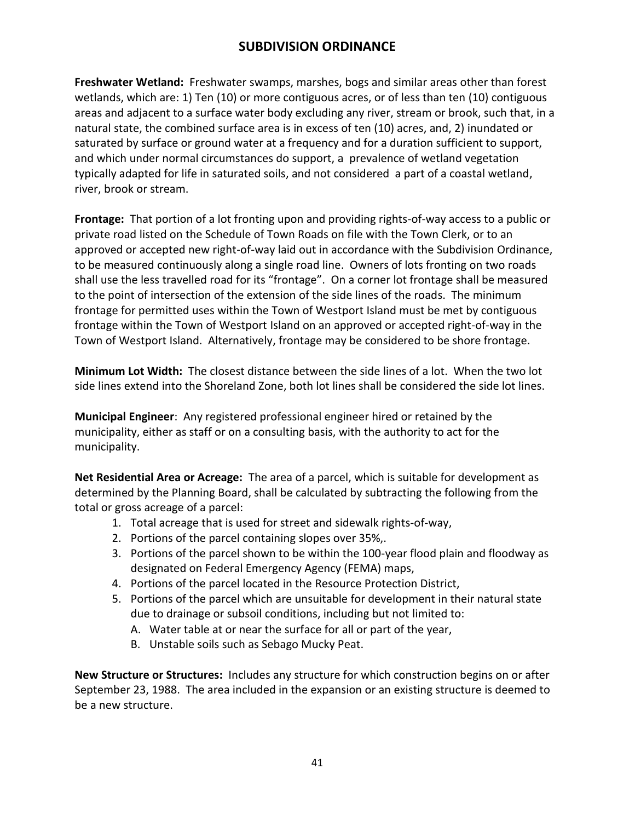**Freshwater Wetland:** Freshwater swamps, marshes, bogs and similar areas other than forest wetlands, which are: 1) Ten (10) or more contiguous acres, or of less than ten (10) contiguous areas and adjacent to a surface water body excluding any river, stream or brook, such that, in a natural state, the combined surface area is in excess of ten (10) acres, and, 2) inundated or saturated by surface or ground water at a frequency and for a duration sufficient to support, and which under normal circumstances do support, a prevalence of wetland vegetation typically adapted for life in saturated soils, and not considered a part of a coastal wetland, river, brook or stream.

**Frontage:** That portion of a lot fronting upon and providing rights-of-way access to a public or private road listed on the Schedule of Town Roads on file with the Town Clerk, or to an approved or accepted new right-of-way laid out in accordance with the Subdivision Ordinance, to be measured continuously along a single road line. Owners of lots fronting on two roads shall use the less travelled road for its "frontage". On a corner lot frontage shall be measured to the point of intersection of the extension of the side lines of the roads. The minimum frontage for permitted uses within the Town of Westport Island must be met by contiguous frontage within the Town of Westport Island on an approved or accepted right-of-way in the Town of Westport Island. Alternatively, frontage may be considered to be shore frontage.

**Minimum Lot Width:** The closest distance between the side lines of a lot. When the two lot side lines extend into the Shoreland Zone, both lot lines shall be considered the side lot lines.

**Municipal Engineer**: Any registered professional engineer hired or retained by the municipality, either as staff or on a consulting basis, with the authority to act for the municipality.

**Net Residential Area or Acreage:** The area of a parcel, which is suitable for development as determined by the Planning Board, shall be calculated by subtracting the following from the total or gross acreage of a parcel:

- 1. Total acreage that is used for street and sidewalk rights-of-way,
- 2. Portions of the parcel containing slopes over 35%,.
- 3. Portions of the parcel shown to be within the 100-year flood plain and floodway as designated on Federal Emergency Agency (FEMA) maps,
- 4. Portions of the parcel located in the Resource Protection District,
- 5. Portions of the parcel which are unsuitable for development in their natural state due to drainage or subsoil conditions, including but not limited to:
	- A. Water table at or near the surface for all or part of the year,
	- B. Unstable soils such as Sebago Mucky Peat.

**New Structure or Structures:** Includes any structure for which construction begins on or after September 23, 1988. The area included in the expansion or an existing structure is deemed to be a new structure.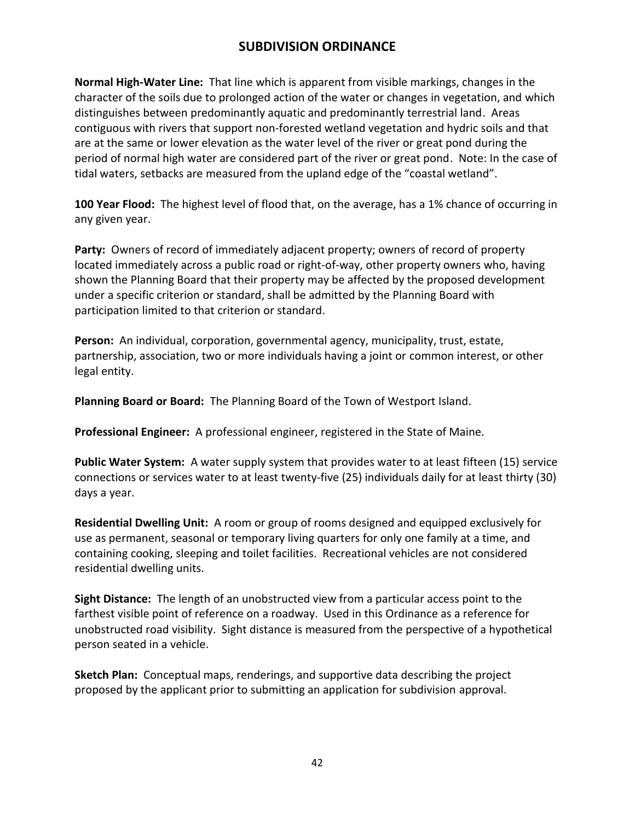**Normal High-Water Line:** That line which is apparent from visible markings, changes in the character of the soils due to prolonged action of the water or changes in vegetation, and which distinguishes between predominantly aquatic and predominantly terrestrial land. Areas contiguous with rivers that support non-forested wetland vegetation and hydric soils and that are at the same or lower elevation as the water level of the river or great pond during the period of normal high water are considered part of the river or great pond. Note: In the case of tidal waters, setbacks are measured from the upland edge of the "coastal wetland".

**100 Year Flood:** The highest level of flood that, on the average, has a 1% chance of occurring in any given year.

**Party:** Owners of record of immediately adjacent property; owners of record of property located immediately across a public road or right-of-way, other property owners who, having shown the Planning Board that their property may be affected by the proposed development under a specific criterion or standard, shall be admitted by the Planning Board with participation limited to that criterion or standard.

**Person:** An individual, corporation, governmental agency, municipality, trust, estate, partnership, association, two or more individuals having a joint or common interest, or other legal entity.

**Planning Board or Board:** The Planning Board of the Town of Westport Island.

**Professional Engineer:** A professional engineer, registered in the State of Maine.

**Public Water System:** A water supply system that provides water to at least fifteen (15) service connections or services water to at least twenty-five (25) individuals daily for at least thirty (30) days a year.

**Residential Dwelling Unit:** A room or group of rooms designed and equipped exclusively for use as permanent, seasonal or temporary living quarters for only one family at a time, and containing cooking, sleeping and toilet facilities. Recreational vehicles are not considered residential dwelling units.

**Sight Distance:** The length of an unobstructed view from a particular access point to the farthest visible point of reference on a roadway. Used in this Ordinance as a reference for unobstructed road visibility. Sight distance is measured from the perspective of a hypothetical person seated in a vehicle.

**Sketch Plan:** Conceptual maps, renderings, and supportive data describing the project proposed by the applicant prior to submitting an application for subdivision approval.